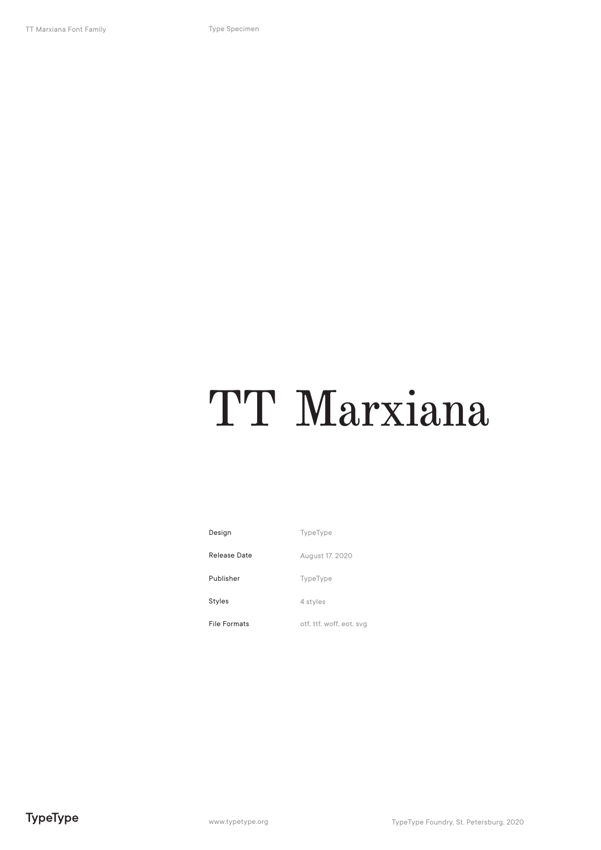### TT Marxiana

TypeType August 17, 2020 TypeType 4 styles otf, ttf, woff, eot, svg Design Release Date Publisher Styles File Formats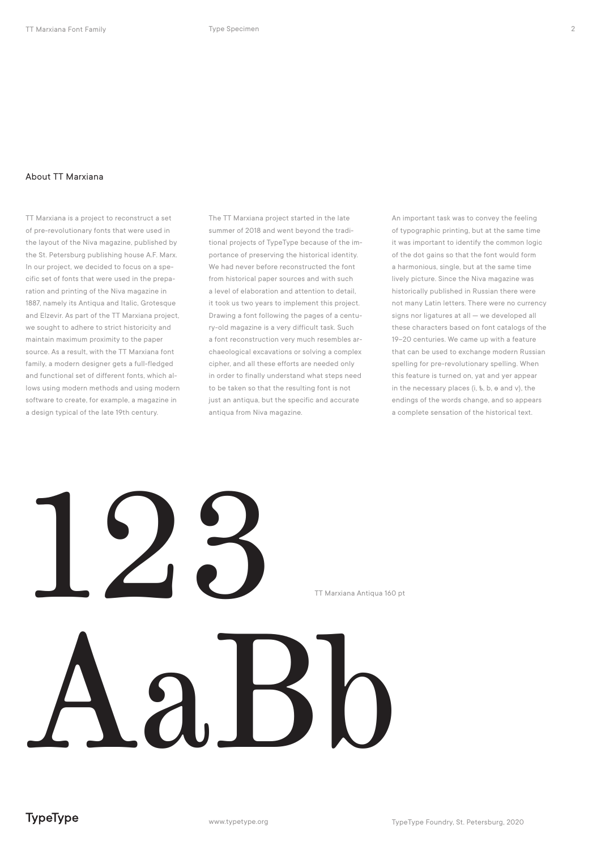### About TT Marxiana

TT Marxiana is a project to reconstruct a set of pre-revolutionary fonts that were used in the layout of the Niva magazine, published by the St. Petersburg publishing house A.F. Marx. In our project, we decided to focus on a specific set of fonts that were used in the preparation and printing of the Niva magazine in 1887, namely its Antiqua and Italic, Grotesque and Elzevir. As part of the TT Marxiana project, we sought to adhere to strict historicity and maintain maximum proximity to the paper source. As a result, with the TT Marxiana font family, a modern designer gets a full-fledged and functional set of different fonts, which allows using modern methods and using modern software to create, for example, a magazine in a design typical of the late 19th century.

The TT Marxiana project started in the late summer of 2018 and went beyond the traditional projects of TypeType because of the importance of preserving the historical identity. We had never before reconstructed the font from historical paper sources and with such a level of elaboration and attention to detail, it took us two years to implement this project. Drawing a font following the pages of a century-old magazine is a very difficult task. Such a font reconstruction very much resembles archaeological excavations or solving a complex cipher, and all these efforts are needed only in order to finally understand what steps need to be taken so that the resulting font is not just an antiqua, but the specific and accurate antiqua from Niva magazine.

An important task was to convey the feeling of typographic printing, but at the same time it was important to identify the common logic of the dot gains so that the font would form a harmonious, single, but at the same time lively picture. Since the Niva magazine was historically published in Russian there were not many Latin letters. There were no currency signs nor ligatures at all — we developed all these characters based on font catalogs of the 19–20 centuries. We came up with a feature that can be used to exchange modern Russian spelling for pre-revolutionary spelling. When this feature is turned on, yat and yer appear in the necessary places (i, ѣ, b, ѳ and ѵ), the endings of the words change, and so appears a complete sensation of the historical text.

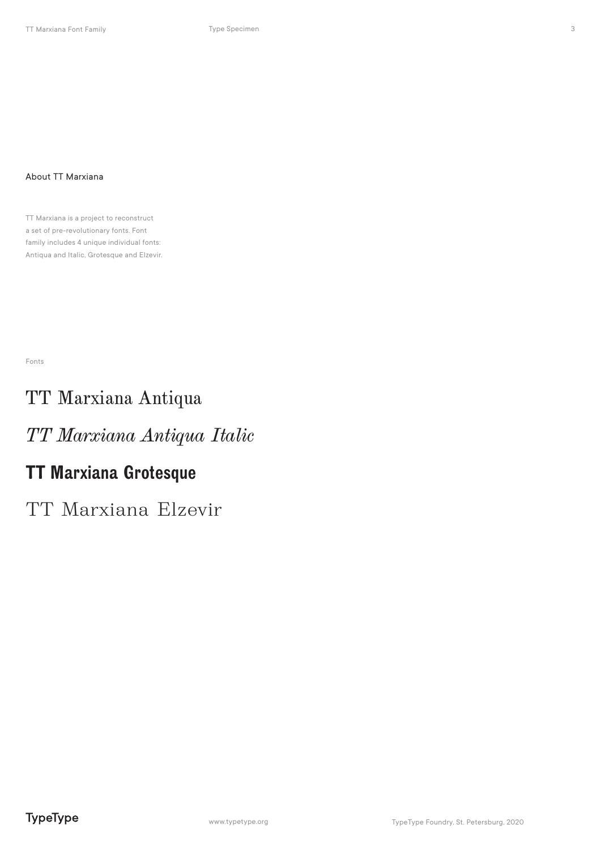### About TT Marxiana

TT Marxiana is a project to reconstruct a set of pre-revolutionary fonts. Font family includes 4 unique individual fonts: Antiqua and Italic, Grotesque and Elzevir.

Fonts

### TT Marxiana Antiqua

### *TT Marxiana Antiqua Italic*

### TT Marxiana Grotesque

TT Marxiana Elzevir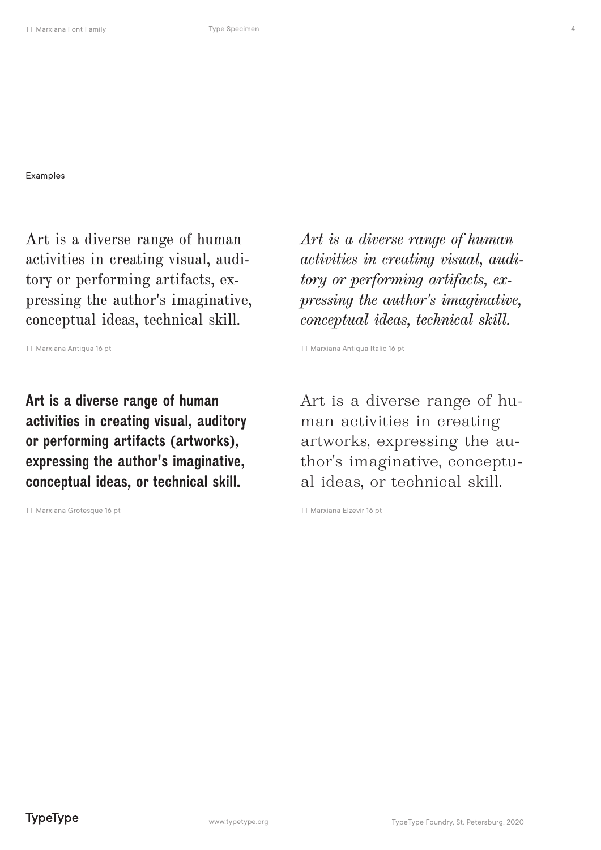Examples

Art is a diverse range of human activities in creating visual, auditory or performing artifacts, expressing the author's imaginative, conceptual ideas, technical skill.

Art is a diverse range of human activities in creating visual, auditory or performing artifacts (artworks), expressing the author's imaginative, conceptual ideas, or technical skill.

TT Marxiana Grotesque 16 pt TT Marxiana Elzevir 16 pt

*Art is a diverse range of human activities in creating visual, auditory or performing artifacts, expressing the author's imaginative, conceptual ideas, technical skill.*

TT Marxiana Antiqua 16 pt **TT Marxiana Antiqua Italic 16 pt** TT Marxiana Antiqua Italic 16 pt

Art is a diverse range of human activities in creating artworks, expressing the author's imaginative, conceptual ideas, or technical skill.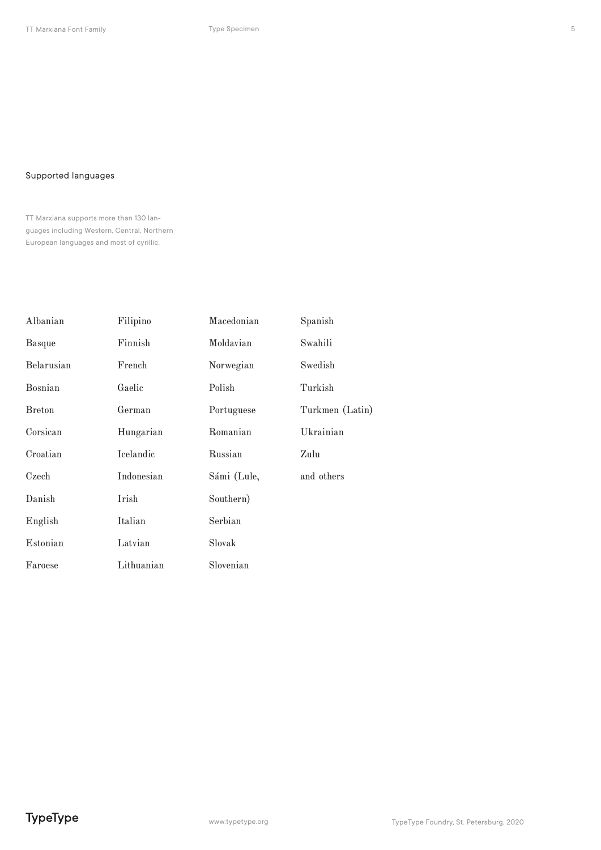### Supported languages

TT Marxiana supports more than 130 languages including Western, Central, Northern European languages and most of cyrillic.

| Albanian      | Filipino   | Macedonian  | Spanish         |
|---------------|------------|-------------|-----------------|
| <b>Basque</b> | Finnish    | Moldavian   | Swahili         |
| Belarusian    | French     | Norwegian   | Swedish         |
| Bosnian       | Gaelic     | Polish      | Turkish         |
| <b>Breton</b> | German     | Portuguese  | Turkmen (Latin) |
| Corsican      | Hungarian  | Romanian    | Ukrainian       |
| Croatian      | Icelandic  | Russian     | Zulu            |
| Czech         | Indonesian | Sámi (Lule, | and others      |
| Danish        | Irish      | Southern)   |                 |
| English       | Italian    | Serbian     |                 |
| Estonian      | Latvian    | Slovak      |                 |
| Faroese       | Lithuanian | Slovenian   |                 |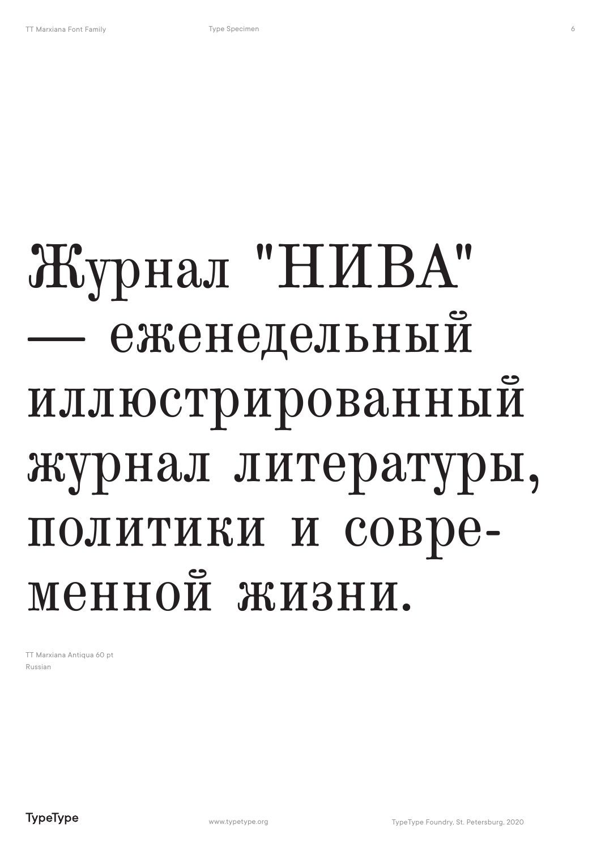## Журнал "НИВА" — еженедельный иллюстрированный журнал литературы, политики и современной жизни.

TT Marxiana Antiqua 60 pt Russian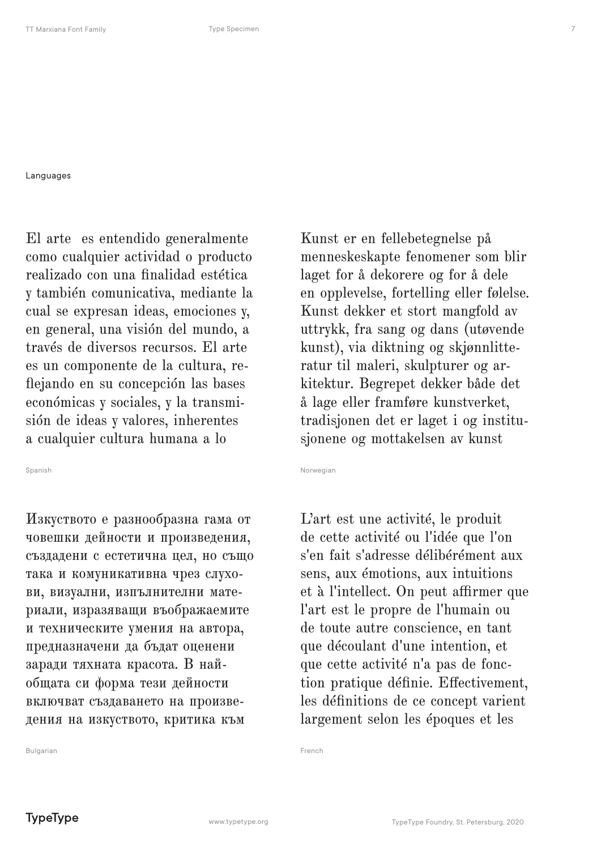Languages

El arte es entendido generalmente como cualquier actividad o producto realizado con una finalidad estética y también comunicativa, mediante la cual se expresan ideas, emociones y, en general, una visión del mundo, a través de diversos recursos. El arte es un componente de la cultura, reflejando en su concepción las bases económicas y sociales, y la transmisión de ideas y valores, inherentes a cualquier cultura humana a lo

Spanish

Изкуството е разнообразна гама от човешки дейности и произведения, създадени с естетична цел, но също така и комуникативна чрез слухови, визуални, изпълнителни материали, изразяващи въображаемите и техническите умения на автора, предназначени да бъдат оценени заради тяхната красота. В найобщата си форма тези дейности включват създаването на произведения на изкуството, критика към

Kunst er en fellebetegnelse på menneskeskapte fenomener som blir laget for å dekorere og for å dele en opplevelse, fortelling eller følelse. Kunst dekker et stort mangfold av uttrykk, fra sang og dans (utøvende kunst), via diktning og skjønnlitteratur til maleri, skulpturer og arkitektur. Begrepet dekker både det å lage eller framføre kunstverket, tradisjonen det er laget i og institusjonene og mottakelsen av kunst

Norwegian

L'art est une activité, le produit de cette activité ou l'idée que l'on s'en fait s'adresse délibérément aux sens, aux émotions, aux intuitions et à l'intellect. On peut affirmer que l'art est le propre de l'humain ou de toute autre conscience, en tant que découlant d'une intention, et que cette activité n'a pas de fonction pratique définie. Effectivement, les définitions de ce concept varient largement selon les époques et les

French

Bulgarian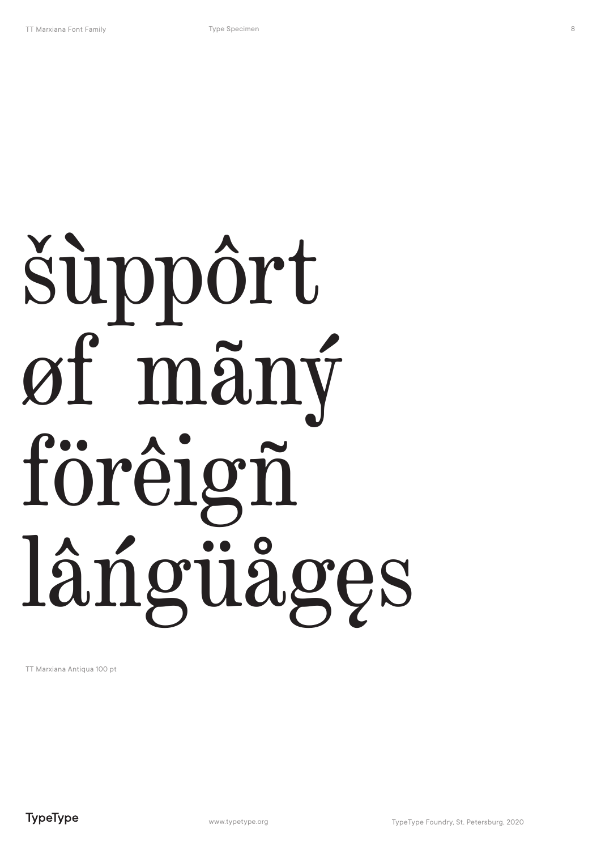# šuppôrt øf mäný förêigñ lângüåges

TT Marxiana Antiqua 100 pt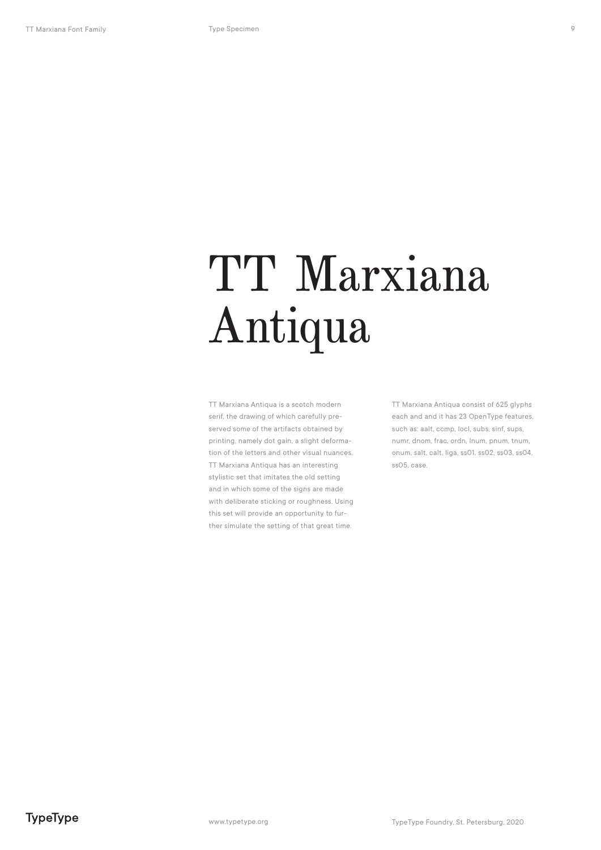TT Marxiana Antiqua is a scotch modern serif, the drawing of which carefully preserved some of the artifacts obtained by printing, namely dot gain, a slight deformation of the letters and other visual nuances. TT Marxiana Antiqua has an interesting stylistic set that imitates the old setting and in which some of the signs are made with deliberate sticking or roughness. Using this set will provide an opportunity to further simulate the setting of that great time.

TT Marxiana Antiqua consist of 625 glyphs each and and it has 23 OpenType features, such as: aalt, ccmp, locl, subs, sinf, sups, numr, dnom, frac, ordn, lnum, pnum, tnum, onum, salt, calt, liga, ss01, ss02, ss03, ss04, ss05, case.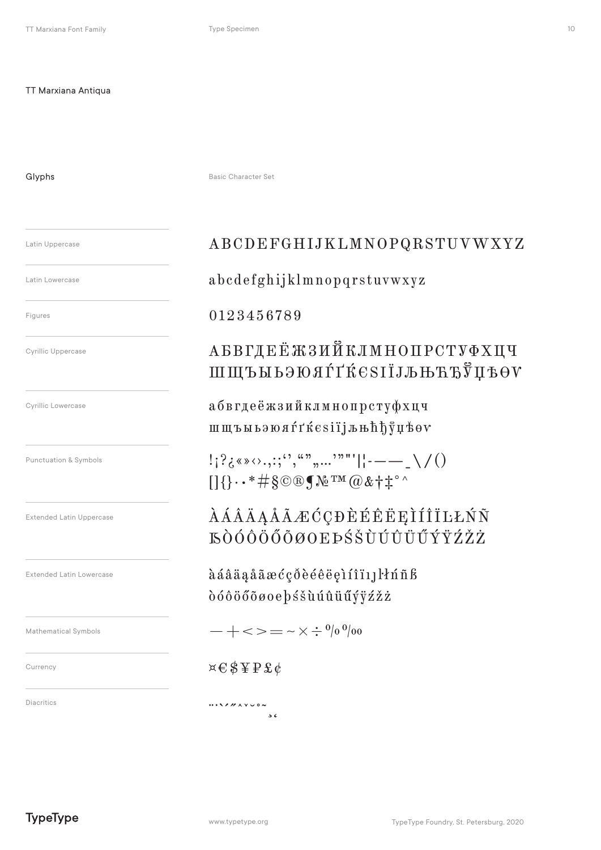Glyphs

Basic Character Set

#### Latin Uppercase

Latin Lowercase

Figures

**Cyrillic Uppercase** 

Cyrillic Lowercase

Punctuation & Symbols

**Extended Latin Uppercase** 

**Extended Latin Lowercase** 

Mathematical Symbols

Currency

Diacritics

### ABCDEFGHIJKLMNOPQRSTUVWXYZ

abcdefghijklmnopqrstuvwxyz

### 0123456789

### **АБВГДЕЁЖЗИЙКЛМНОПРСТУФХЦЧ** ШЩЪЫЬЭЮЯЃҐЌЄЅІЇЈЉЊЋЂЎЏѢѲѴ

абвгдеёжзийклмнопрстуфхцч шщъыьэюя́гґкезії јыњ h h ў цвог

 $[1] \cdot \cdot \cdot \# \S \odot \mathbb{R} \S \cong \mathbb{R}^{m} \otimes \& \dagger \ddagger^{\circ}$ 

*AAAAAAAECCDEEEEEIÍÎILLŃÑ* **EÒÓÔÖŐÕØOEÞŚŠÙÚŮÜŰÝŸŹŽŻ** 

àáâäaåãæćçõèéêëeiíîi11knñß dóôöőõøoe bśšuúûüűýÿźžż

 $- + \lt\gt = - \times \div^{0} /_{0} 0$ 

### $x \in \text{S} \ncong P \mathfrak{L} \phi$

 $\cdots$  $\overline{56}$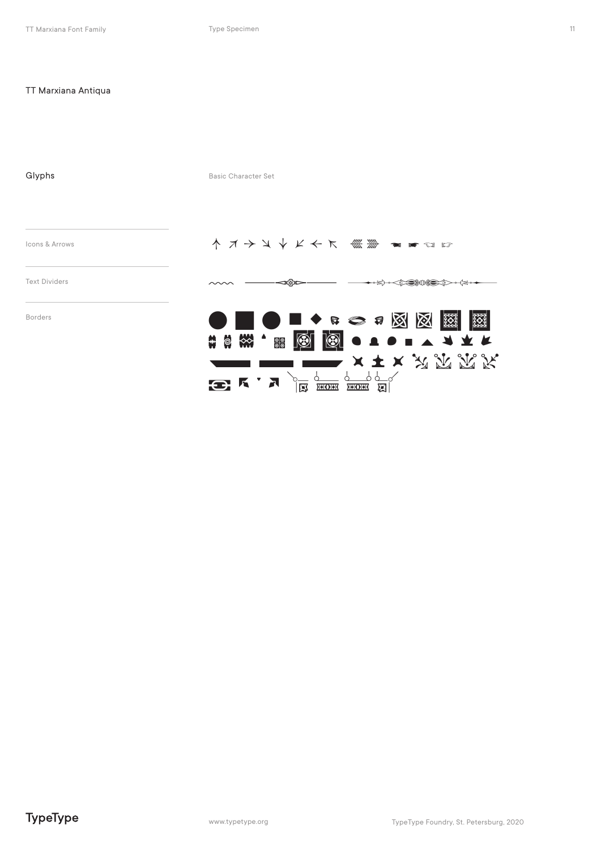| Glyphs               | <b>Basic Character Set</b>                                                                                                                                                                                                                                            |
|----------------------|-----------------------------------------------------------------------------------------------------------------------------------------------------------------------------------------------------------------------------------------------------------------------|
| Icons & Arrows       | ↑ オナメイドチア 《 》 コマロロ                                                                                                                                                                                                                                                    |
| <b>Text Dividers</b> |                                                                                                                                                                                                                                                                       |
| <b>Borders</b>       | ■●■◆☆◇☆図図<br>3333<br>$\frac{800}{2000}$<br>₩<br>$\bigcirc$<br><b>ESCALA PROPER</b><br>$\frac{11}{10}$<br>ၜ႞ၜ<br>$\longrightarrow$ $\times$ $\mp$ $\times$ $\mathbb{Z}$ $\mathbb{Z}$ $\mathbb{Z}$ $\mathbb{Z}$ $\mathbb{Z}$<br><u>PC SHOHR SHOHR SELL</u><br>$B K$ $A$ |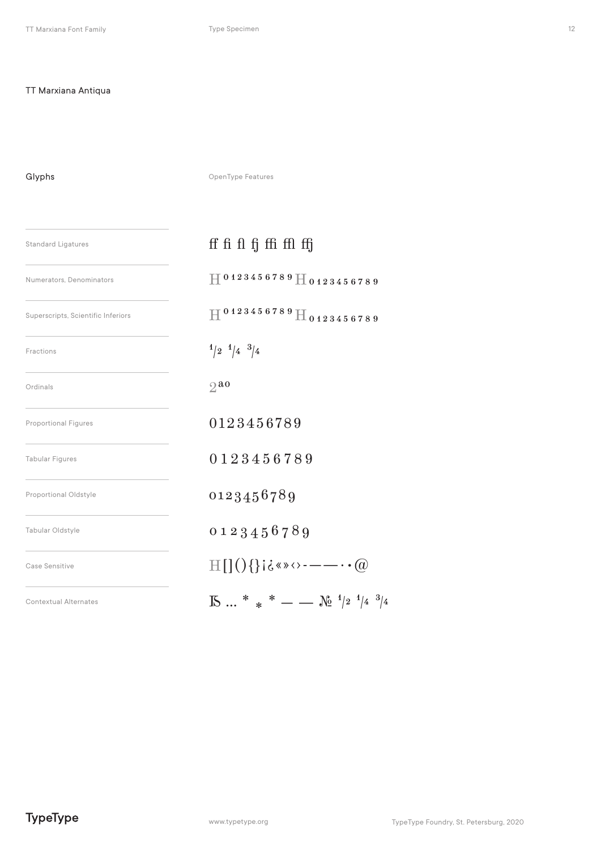Glyphs

OpenType Features

| <b>Standard Ligatures</b>          | ff fi fl fj ffi ffl ffj                                                             |  |
|------------------------------------|-------------------------------------------------------------------------------------|--|
| Numerators, Denominators           | $\overline{11}$ 0 1 2 3 4 5 6 7 8 9 $\overline{11}$ 0 1 2 3 4 5 6 7 8 9             |  |
| Superscripts, Scientific Inferiors | $H^{0123456789}H_{0123456789}$                                                      |  |
| Fractions                          | $1/2$ $1/4$ $3/4$                                                                   |  |
| Ordinals                           | $2^{a}$                                                                             |  |
| <b>Proportional Figures</b>        | 0123456789                                                                          |  |
| <b>Tabular Figures</b>             | 0123456789                                                                          |  |
| Proportional Oldstyle              | 0123456789                                                                          |  |
| Tabular Oldstyle                   | 0123456789                                                                          |  |
| Case Sensitive                     | $\text{H}[\{(\cdot)\}]$ i ¿«»<>---- · · @                                           |  |
| <b>Contextual Alternates</b>       | $\mathbb{R} \dots$ * * * - $\mathbb{R} \xrightarrow{1/2} \frac{1}{4}$ $\frac{3}{4}$ |  |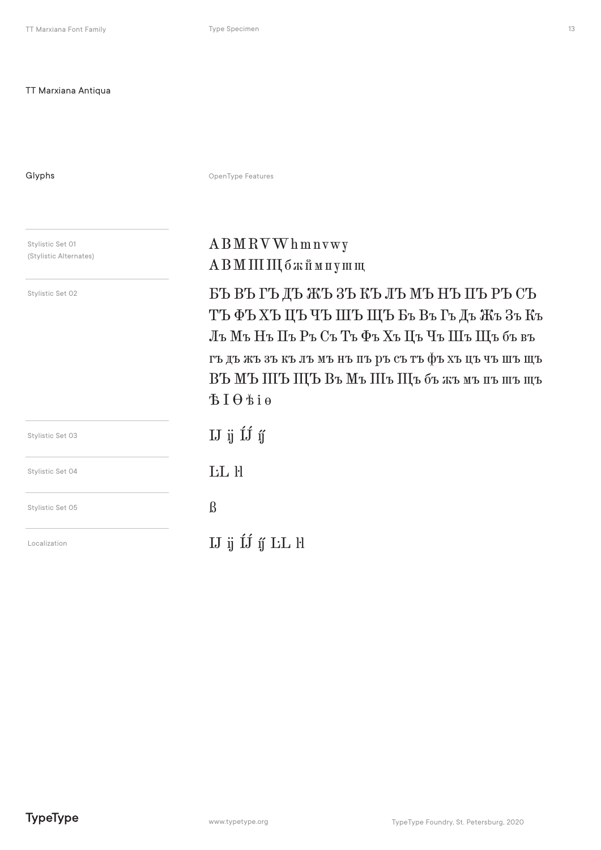Glyphs

OpenType Features

Stylistic Set 01 (Stylistic Alternates)

Stylistic Set 02

### ABMRVWhmnvwy АВМ III III бжймпушщ

БЪ ВЪ ГЪ ДЪ ЖЪ ЗЪ КЪ ЛЪ МЪ НЪ ПЪ РЪ СЪ ТЪФЪХЪЦЪЧЪШЪЩЪБъВъГъДъЖъЗъКъ Лъ Мъ Нъ Пъ Ръ Съ Тъ Фъ Хъ Цъ Чъ Шъ Щъ бъ въ гъ дъ жъ зъ къ лъ мъ нъ пъ ръ съ тъ фъ хъ цъ чъ шъ щъ ВЪ МЪ ШЪ ЩЪ Въ Мъ Шъ Щъ бъ жъ мъ пъ шъ щъ  $BIO$ 

| Stylistic Set 03 |
|------------------|
| Stylistic Set 04 |
| Stylistic Set 05 |
| Localization     |

IJ ij ÍJ íj́ **LL** H  $\beta$ 

IJ ij ÍJ ij LL ŀl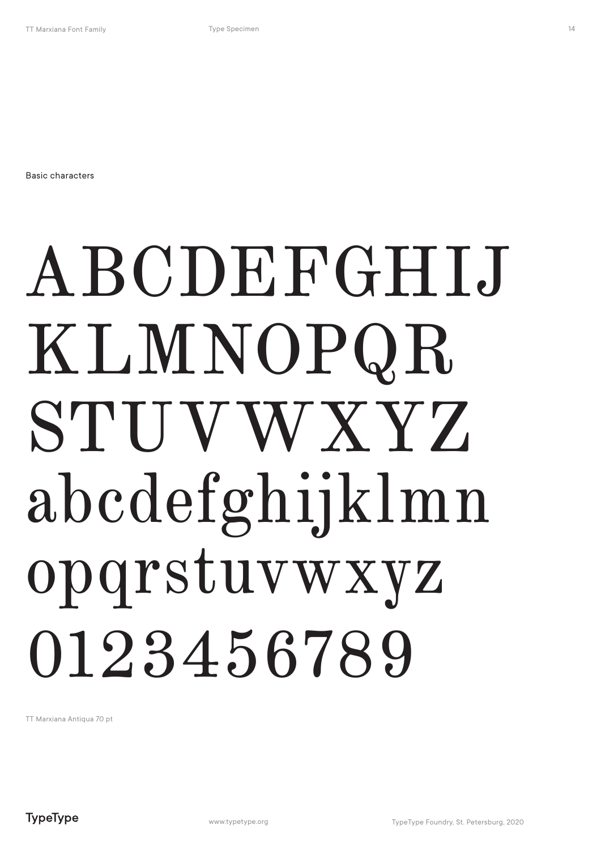Basic characters

## ABCDEFGHIJ KLMNOPQR STUVWXYZ abcdefghijklmn opqrstuvwxyz 0123456789

TT Marxiana Antiqua 70 pt

14

**TypeType**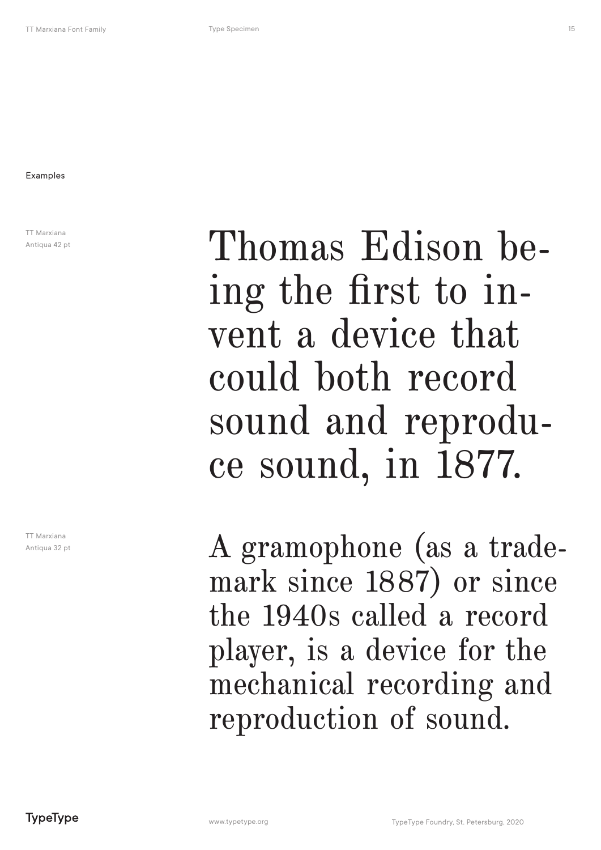Examples

TT Marxiana Antiqua 42 pt

TT Marxiana Antiqua 32 pt

Thomas Edison being the first to invent a device that could both record sound and reproduce sound, in 1877.

A gramophone (as a trademark since 1887) or since the 1940s called a record player, is a device for the mechanical recording and reproduction of sound.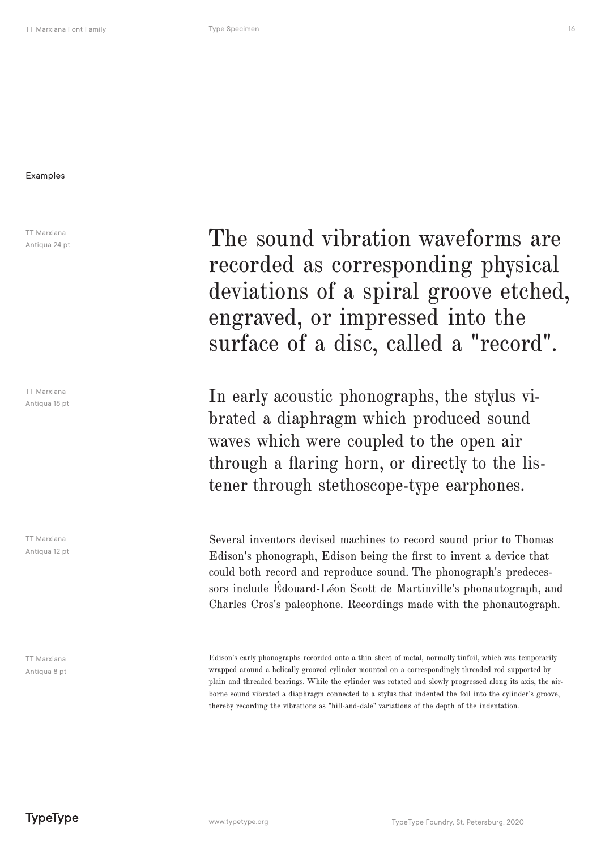### Examples

TT Marxiana Antiqua 24 pt

TT Marxiana Antiqua 18 pt

TT Marxiana Antiqua 12 pt

TT Marxiana Antiqua 8 pt The sound vibration waveforms are recorded as corresponding physical deviations of a spiral groove etched, engraved, or impressed into the surface of a disc, called a "record".

In early acoustic phonographs, the stylus vibrated a diaphragm which produced sound waves which were coupled to the open air through a flaring horn, or directly to the listener through stethoscope-type earphones.

Several inventors devised machines to record sound prior to Thomas Edison's phonograph, Edison being the first to invent a device that could both record and reproduce sound. The phonograph's predecessors include Édouard-Léon Scott de Martinville's phonautograph, and Charles Cros's paleophone. Recordings made with the phonautograph.

Edison's early phonographs recorded onto a thin sheet of metal, normally tinfoil, which was temporarily wrapped around a helically grooved cylinder mounted on a correspondingly threaded rod supported by plain and threaded bearings. While the cylinder was rotated and slowly progressed along its axis, the airborne sound vibrated a diaphragm connected to a stylus that indented the foil into the cylinder's groove, thereby recording the vibrations as "hill-and-dale" variations of the depth of the indentation.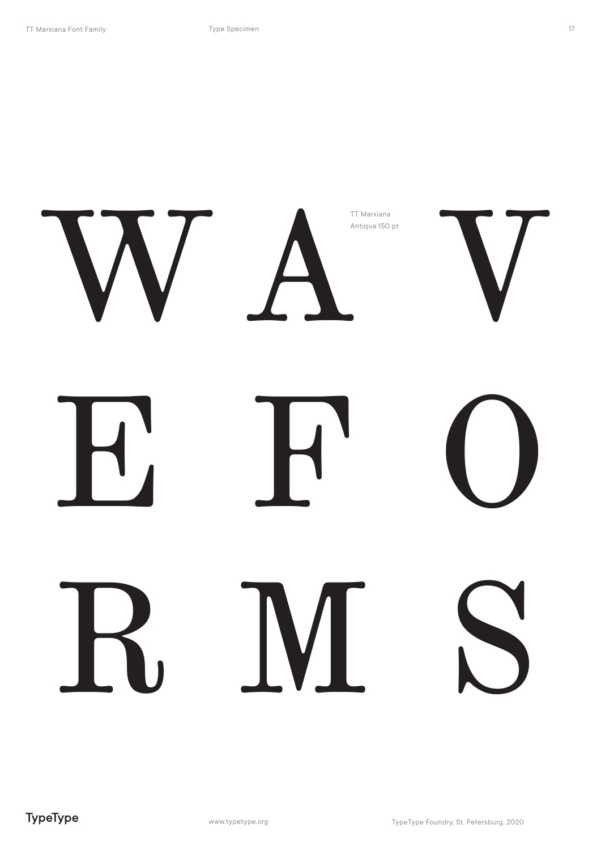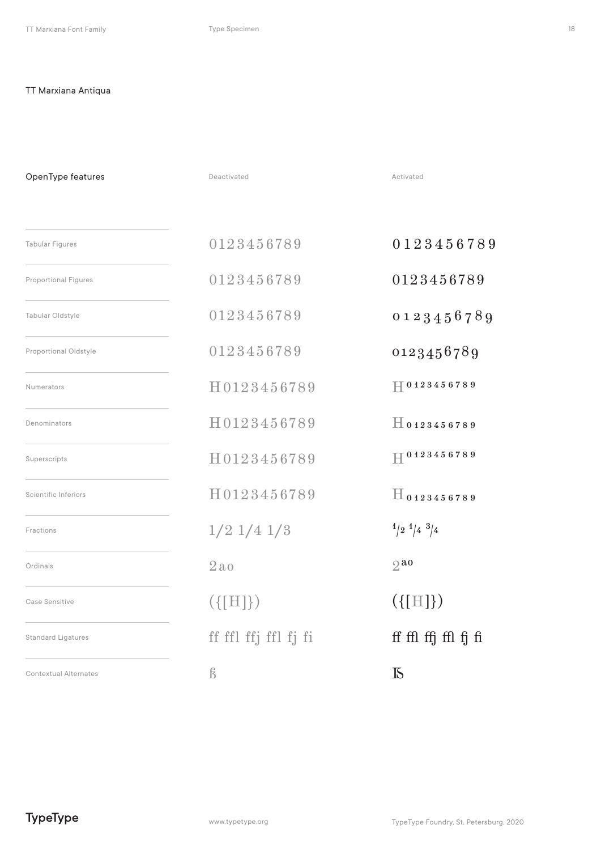Deactivated **Activated** Activated Tabular Figures Numerators Case Sensitive Scientific Inferiors Proportional Figures Denominators Fractions Tabular Oldstyle Superscripts Ordinals OpenType features 0123456789 0123456789 0123456789 H0123456789  $({\{ [ H ] \}})$ H0123456789 H0123456789 H0123456789 1/2 1/4 1/3 2ao 0123456789 0123456789 0123456789 H0123456789 ({[H]}) H0123456789 H0123456789 H0123456789  $\frac{4}{2}$   $\frac{1}{4}$   $\frac{3}{4}$ Standard Ligatures ff ffl ffl ffj ffl fj fi fil fj fi ffl ffl ffl fj fi  $2a$ Proportional Oldstyle  $0123456789$   $0123456789$ Contextual Alternates  $\beta$   $\beta$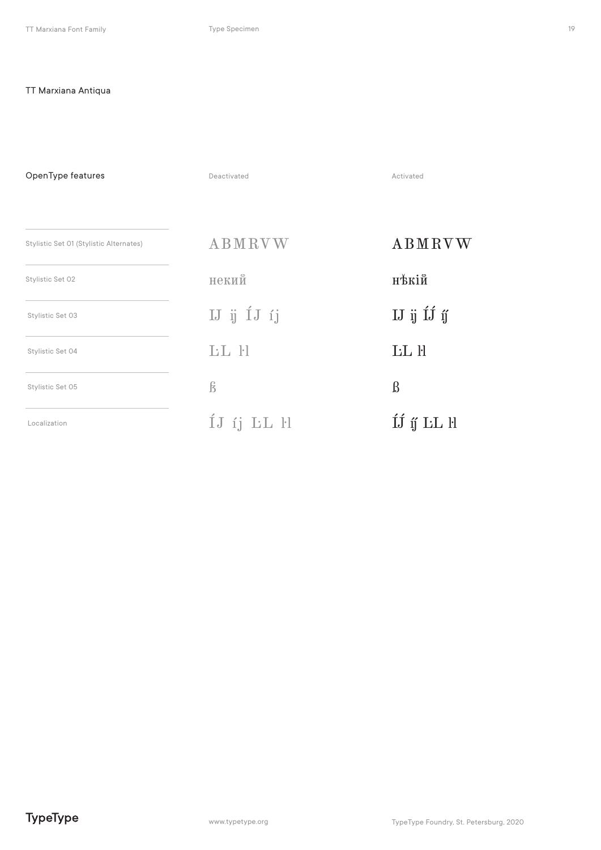Deactivated **Activated** Activated Stylistic Set 01 (Stylistic Alternates) Stylistic Set 02 OpenType features Stylistic Set 03 Stylistic Set 04 Stylistic Set 05 Localization ABMRVW некий IJ ij ÍJ íj ĿL ŀl ß ÍJ íj ĿL ŀl ABMRVW нъкій IJ ij ÍJ íj ÍJ í<br/>j ${\rm LL}$ ll ĿL ŀl ß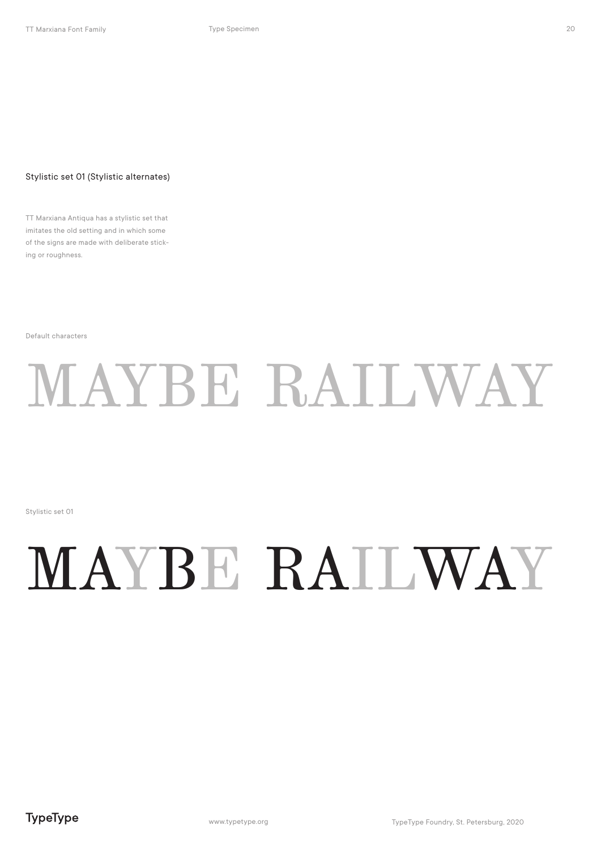#### Stylistic set 01 (Stylistic alternates)

TT Marxiana Antiqua has a stylistic set that imitates the old setting and in which some of the signs are made with deliberate sticking or roughness.

Default characters

## MAYBE RAILWAY

Stylistic set 01

## MAYBE RAILWAY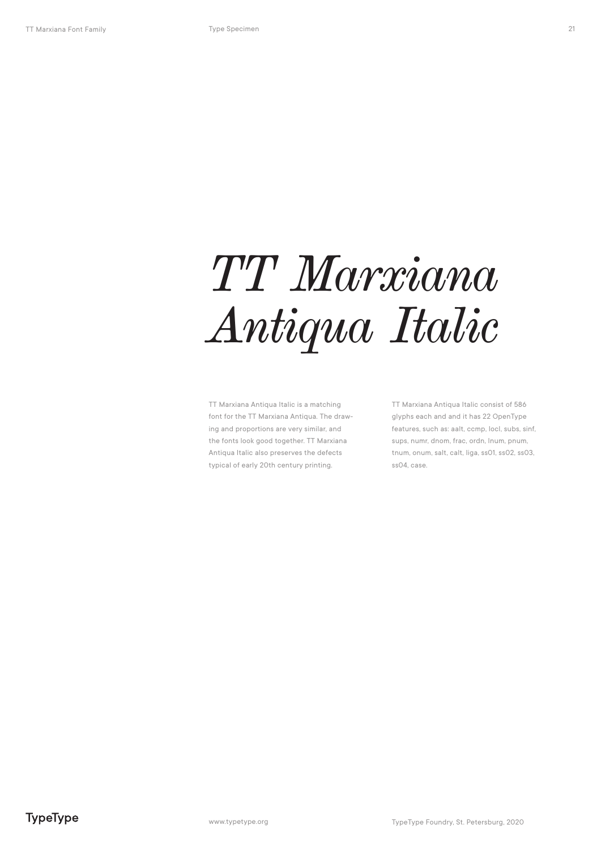TT Marxiana Antiqua Italic is a matching font for the TT Marxiana Antiqua. The drawing and proportions are very similar, and the fonts look good together. TT Marxiana Antiqua Italic also preserves the defects typical of early 20th century printing.

TT Marxiana Antiqua Italic consist of 586 glyphs each and and it has 22 OpenType features, such as: aalt, ccmp, locl, subs, sinf, sups, numr, dnom, frac, ordn, lnum, pnum, tnum, onum, salt, calt, liga, ss01, ss02, ss03, ss04, case.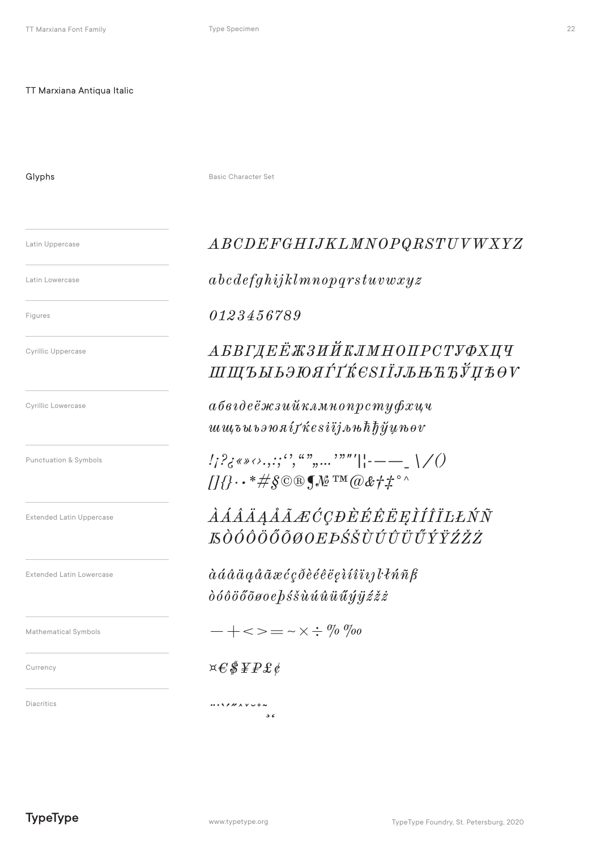Glyphs

Basic Character Set

Latin Uppercase

Latin Lowercase

Figures

**Cyrillic Uppercase** 

Cyrillic Lowercase

Punctuation & Symbols

**Extended Latin Uppercase** 

**Extended Latin Lowercase** 

Mathematical Symbols

Currency

Diacritics

### ${\small\it ABCDEFGHIJKLMNOPQRSTUVWXYZ}$

 $abcdefghijklmnop qrstuvwxyz$ 

0123456789

### АБВГДЕЁЖЗИЙКЛМНОПРСТУФХЦЧ ШЩЪЫЬЭЮЯЃҐЌСЅІЇЈЉЊЋЂЎЏѢѲѴ

 $a\delta$ відеёжзийклмнопрстуфхцч  $uuu\bar{v}bu\bar{v}$ *s* $\bar{v}a\bar{u}f\bar{x}e s\bar{i}ij\bar{v}u\bar{v}h\bar{h}\bar{y}\bar{u}u\bar{v}ev$ 

 $\frac{1}{2}$  /  $\frac{2}{5}$  (\* \* 0, . . ; '', ", ", ..., '"'||---\_ \/ ()  $\iiint \cdot \cdot \cdot \# \S \circ \mathbb{R} \mathcal{M}^{\text{TM}} \mathcal{Q} \& \# \#^{\circ} \wedge$ 

*AAAAAAA ECCDEÉÊËE EIÍÎILENN KÒÓÔÖŐŐØOEÞŚŠÙÚÛÜŰÝŸŹŽŻ* 

 $\dot{a} \dot{a} \dot{a} \ddot{a} \ddot{a} \dot{a} \ddot{a} \ddot{a} \dot{c} \dot{c} \dot{c} \ddot{\partial} \dot{e} \dot{e} \ddot{e} \ddot{e} \dot{e} \dot{i} \dot{i} \ddot{i} \dot{i} j l \dot{l}$  $\delta$ óôöőõøoe $\delta$ śšùúû $\tilde{u}$ üűý $\tilde{y}$ źžż

 $- + \ll \gt = - \times \div \%$  %

 $\mathbf{x} \in \mathcal{S} \, \mathbf{F} \mathbf{P} \, \mathbf{E} \, \mathbf{C}$ 

 $\cdots \cdots \cdots$  $\overline{56}$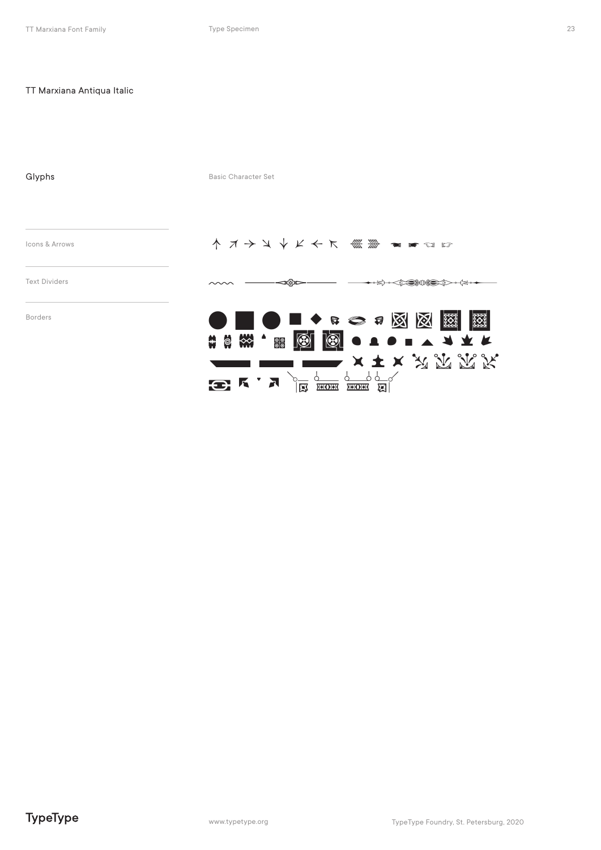| Glyphs               | <b>Basic Character Set</b>                                                                                                                                                                                                                                                                                                                                                                                                                                                                                                                                                       |
|----------------------|----------------------------------------------------------------------------------------------------------------------------------------------------------------------------------------------------------------------------------------------------------------------------------------------------------------------------------------------------------------------------------------------------------------------------------------------------------------------------------------------------------------------------------------------------------------------------------|
| Icons & Arrows       | イ オ ン ソ レ イ ス 《 》 コ コ ロ ロ                                                                                                                                                                                                                                                                                                                                                                                                                                                                                                                                                        |
| <b>Text Dividers</b> |                                                                                                                                                                                                                                                                                                                                                                                                                                                                                                                                                                                  |
| <b>Borders</b>       | <b>IO ■◆ B ○ 5 図 図</b><br>ု ၁၀၀၀<br>၁၀၀၀<br>၁၀၀၀<br>▓▏<br>$\bigcirc$<br>◙●▲●■▲▲★★<br>$\bullet$<br>ၜၜ<br>$x \pm x$ $\mathcal{R}$ $\mathcal{R}$ $\mathcal{R}$ $\mathcal{R}$<br>$\frac{1}{\sqrt{2}}$ $\frac{1}{\sqrt{2}}$ $\frac{1}{\sqrt{2}}$ $\frac{1}{\sqrt{2}}$ $\frac{1}{\sqrt{2}}$ $\frac{1}{\sqrt{2}}$ $\frac{1}{\sqrt{2}}$ $\frac{1}{\sqrt{2}}$ $\frac{1}{\sqrt{2}}$ $\frac{1}{\sqrt{2}}$ $\frac{1}{\sqrt{2}}$ $\frac{1}{\sqrt{2}}$ $\frac{1}{\sqrt{2}}$ $\frac{1}{\sqrt{2}}$ $\frac{1}{\sqrt{2}}$ $\frac{1}{\sqrt{2}}$ $\frac{1}{\sqrt{2}}$<br>$\mathbf{E}$ K $\mathbf{A}$ |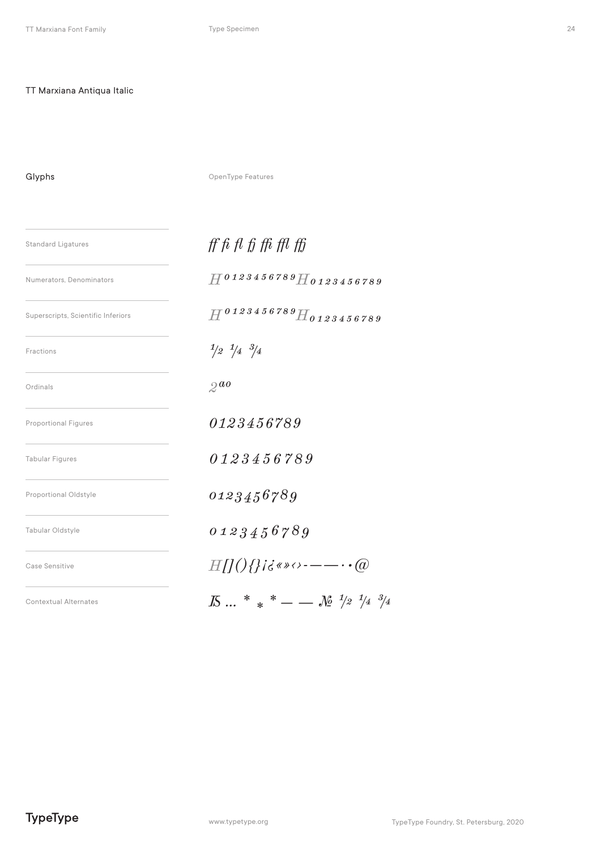Glyphs

OpenType Features

| <b>Standard Ligatures</b>          | $\operatorname{ff}$ fi fi ffi ffi ffi ffi                                                                                                                                                                                                                          |  |
|------------------------------------|--------------------------------------------------------------------------------------------------------------------------------------------------------------------------------------------------------------------------------------------------------------------|--|
| Numerators, Denominators           | $H^{0123456789}$ H <sub>0123456789</sub>                                                                                                                                                                                                                           |  |
| Superscripts, Scientific Inferiors | $H^{0123456789}$ H0123456789                                                                                                                                                                                                                                       |  |
| Fractions                          | $\frac{1}{2}$ $\frac{1}{4}$ $\frac{3}{4}$                                                                                                                                                                                                                          |  |
| Ordinals                           | $2^{a}$                                                                                                                                                                                                                                                            |  |
| <b>Proportional Figures</b>        | 0123456789                                                                                                                                                                                                                                                         |  |
| <b>Tabular Figures</b>             | 0123456789                                                                                                                                                                                                                                                         |  |
| Proportional Oldstyle              | 0123456789                                                                                                                                                                                                                                                         |  |
| Tabular Oldstyle                   | 0123456789                                                                                                                                                                                                                                                         |  |
| Case Sensitive                     | $H[1](\frac{1}{2}i\vec{\sigma}^* \vec{\sigma}^* \vec{\sigma}^* \vec{\sigma}^* \vec{\sigma}^* \vec{\sigma}^* \vec{\sigma}^* \vec{\sigma}^* \vec{\sigma}^* \vec{\sigma}^* \vec{\sigma}^* \vec{\sigma}^* \vec{\sigma}^* \vec{\sigma}^* \vec{\sigma}^* \vec{\sigma}^*$ |  |
| <b>Contextual Alternates</b>       | $\overline{K}$ * * + - $\overline{K}$ $\frac{1}{2}$ $\frac{1}{4}$ $\frac{3}{4}$                                                                                                                                                                                    |  |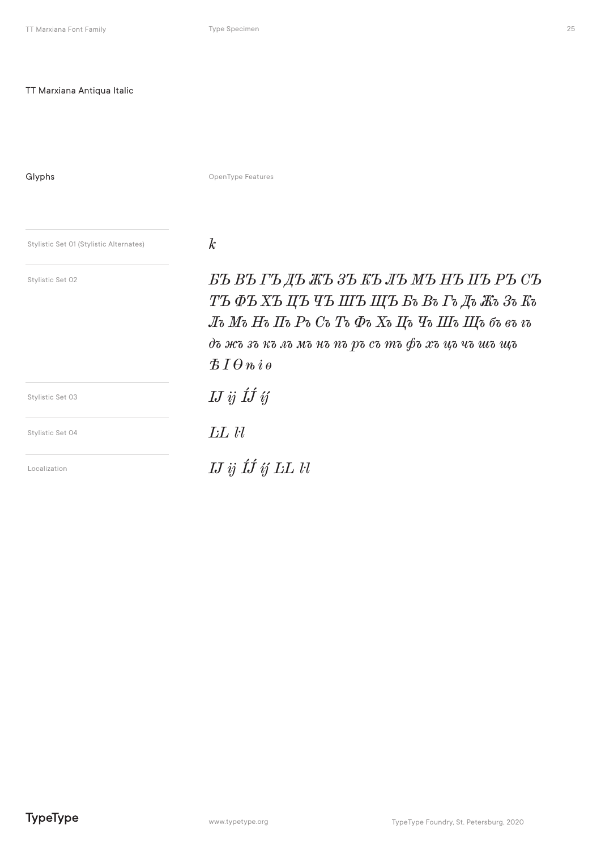Type Specimen

Glyphs

OpenType Features

Stylistic Set 01 (Stylistic Alternates)

Stylistic Set 02

 $\boldsymbol{k}$ 

БЪ ВЪ ГЪ ДЪ ЖЪ ЗЪ КЪ ЛЪ МЪ НЪ ПЪ РЪ СЪ ТЪФЪХЪЦЪЧЪШЪЩЪ Бъ Въ Гъ Дъ Жъ Зъ Къ Лъ Мъ Нъ Пъ Ръ Съ Тъ Фъ Хъ Цъ Чъ Шъ Щъ бъ въ  $i$ ъ дъ жъ зъ къ лъ мъ нъ пъ ръ съ тъ фъ хъ цъ чъ шъ щъ  $BIO$ <sup>n</sup>ie  $I\!J$  ij  $I\!J$  ij LL ll  $I\!J$  ij  $I\!J$  if  $L\!L$   $l$ 

Stylistic Set 03

Stylistic Set 04

Localization

25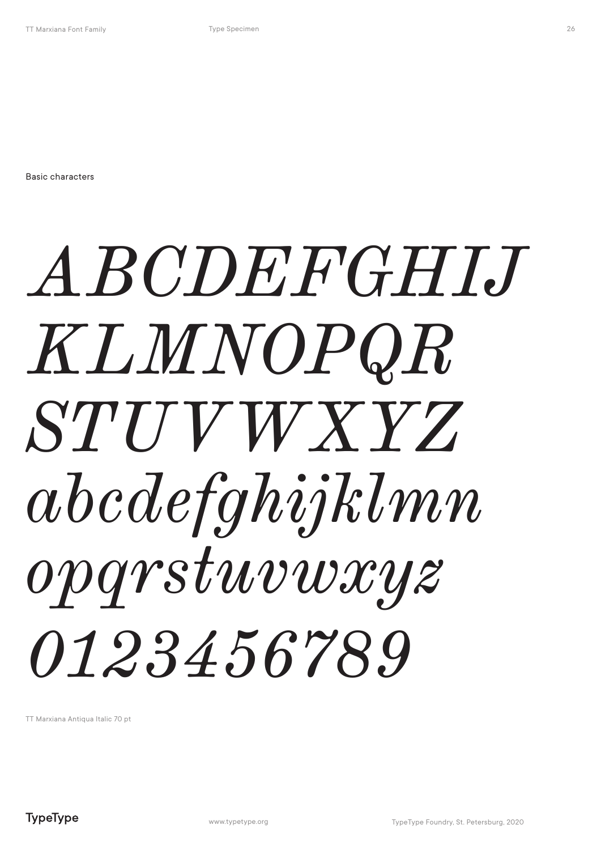Basic characters

## *ABCDEFGHIJ KLMNOPQR STUVWXYZ abcdefghijklmn opqrstuvwxyz 0123456789*

TT Marxiana Antiqua Italic 70 pt

26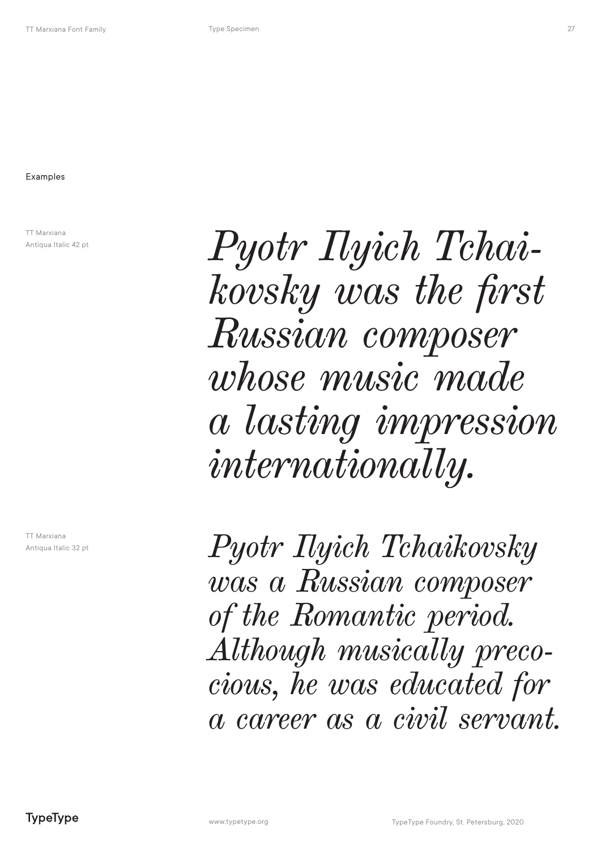TT Marxiana Antiqua Italic 42 pt

TT Marxiana Antiqua Italic 32 pt *Pyotr Ilyich Tchaikovsky was the first Russian composer whose music made a lasting impression internationally.* 

*Pyotr Ilyich Tchaikovsky was a Russian composer of the Romantic period. Although musically precocious, he was educated for a career as a civil servant.*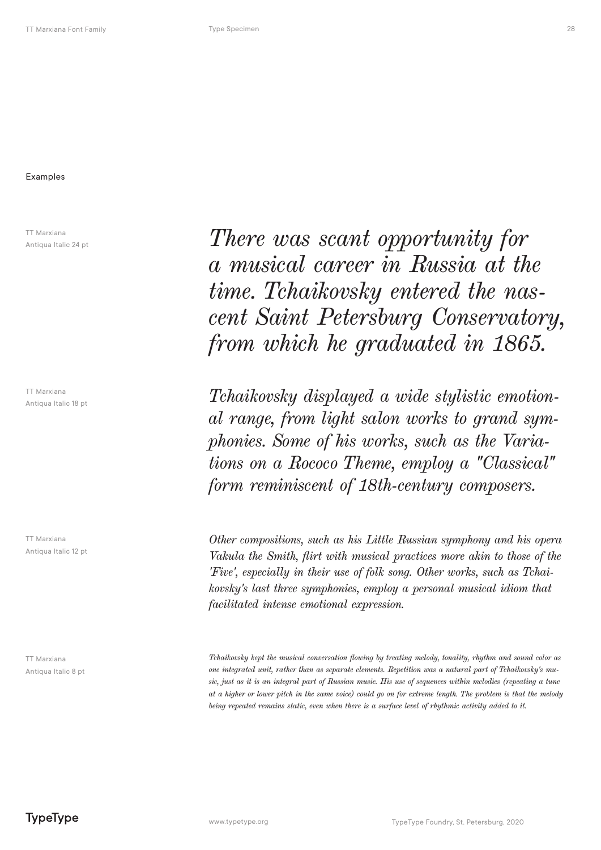#### Examples

TT Marxiana Antiqua Italic 24 pt

TT Marxiana Antiqua Italic 18 pt

TT Marxiana Antiqua Italic 12 pt

TT Marxiana Antiqua Italic 8 pt

*There was scant opportunity for a musical career in Russia at the time. Tchaikovsky entered the nascent Saint Petersburg Conservatory, from which he graduated in 1865.*

*Tchaikovsky displayed a wide stylistic emotional range, from light salon works to grand symphonies. Some of his works, such as the Variations on a Rococo Theme, employ a "Classical" form reminiscent of 18th-century composers.*

*Other compositions, such as his Little Russian symphony and his opera Vakula the Smith, flirt with musical practices more akin to those of the 'Five', especially in their use of folk song. Other works, such as Tchaikovsky's last three symphonies, employ a personal musical idiom that facilitated intense emotional expression.*

*Tchaikovsky kept the musical conversation flowing by treating melody, tonality, rhythm and sound color as one integrated unit, rather than as separate elements. Repetition was a natural part of Tchaikovsky's music, just as it is an integral part of Russian music. His use of sequences within melodies (repeating a tune at a higher or lower pitch in the same voice) could go on for extreme length. The problem is that the melody being repeated remains static, even when there is a surface level of rhythmic activity added to it.*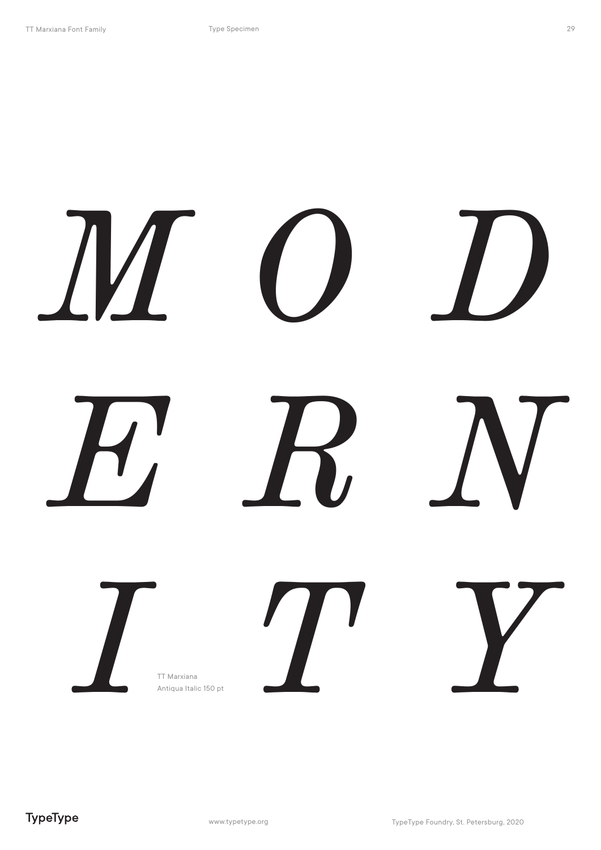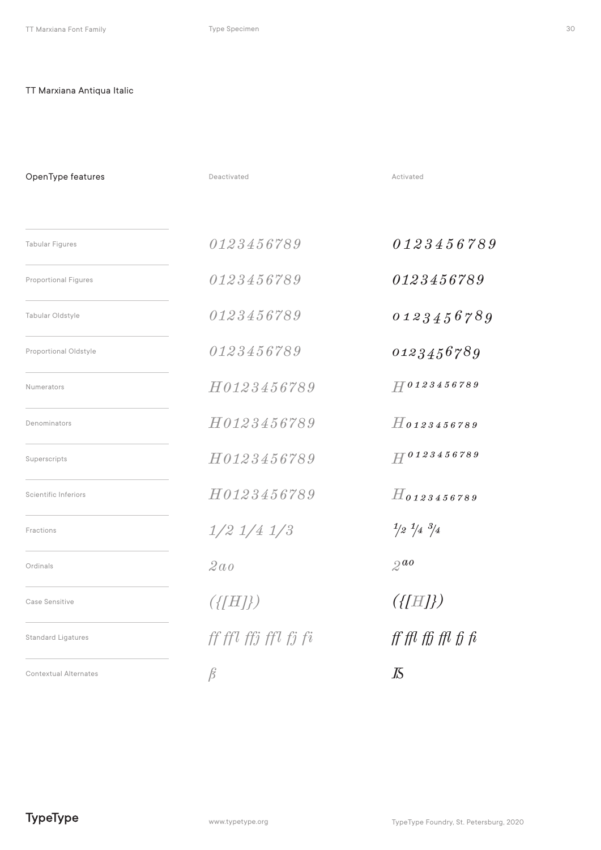| OpenType features            | Deactivated          | Activated                                 |
|------------------------------|----------------------|-------------------------------------------|
| <b>Tabular Figures</b>       | 0123456789           | 0123456789                                |
| <b>Proportional Figures</b>  | 0123456789           | 0123456789                                |
| Tabular Oldstyle             | 0123456789           | 0123456789                                |
| Proportional Oldstyle        | 0123456789           | 0123456789                                |
| <b>Numerators</b>            | H0123456789          | $H^{0123456789}$                          |
| Denominators                 | H0123456789          | $H$ 0123456789                            |
| Superscripts                 | H0123456789          | $H^{0123456789}$                          |
| <b>Scientific Inferiors</b>  | H0123456789          | $H$ 0123456789                            |
| Fractions                    | $1/2$ $1/4$ $1/3$    | $\frac{1}{2}$ $\frac{1}{4}$ $\frac{3}{4}$ |
| Ordinals                     | 2 a o                | $2^{a}$                                   |
| Case Sensitive               | $({\{[H]\}})$        | $(\{[H]\})$                               |
| <b>Standard Ligatures</b>    | ff ffl ffj ffl fj fi | $\operatorname{ff}$ ffl ffl ffl fi fi     |
| <b>Contextual Alternates</b> | $\beta$              | K                                         |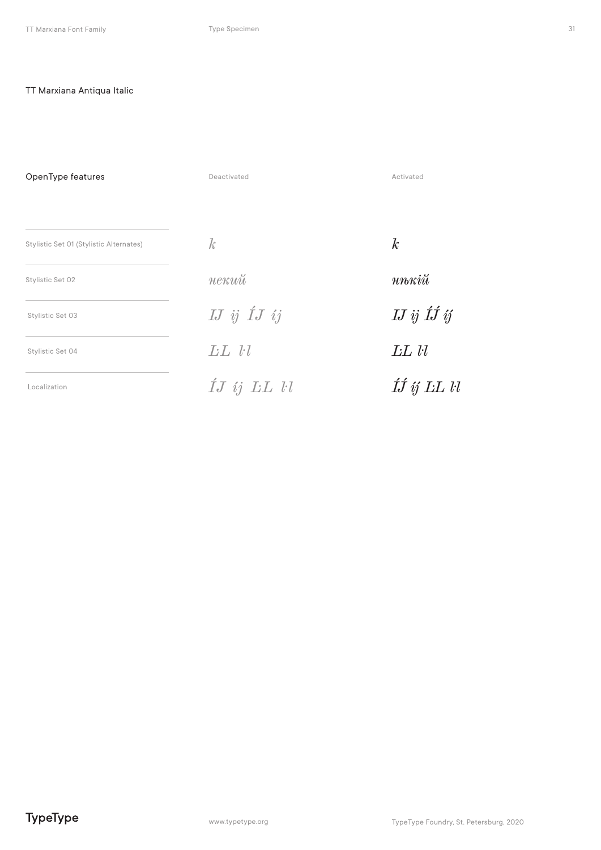OpenType features Deactivated Activated  $\mathcal{k}$  $\boldsymbol{k}$ Stylistic Set 01 (Stylistic Alternates)  $n n \kappa i \breve{u}$ некий Stylistic Set 02  $I\!J$ ij Í $J$ ij  $I\!J \; \dot{y} \; \acute{I}\! \acute{J} \; \acute{y}$ Stylistic Set 03  $LL$   $ll$  $LL$   $ll$ Stylistic Set 04  $\acute{L}J$  ij  $LL$   $ll$  $\acute{I} \acute{J}$   $\acute{y}$  LL  $l\bar{l}$ Localization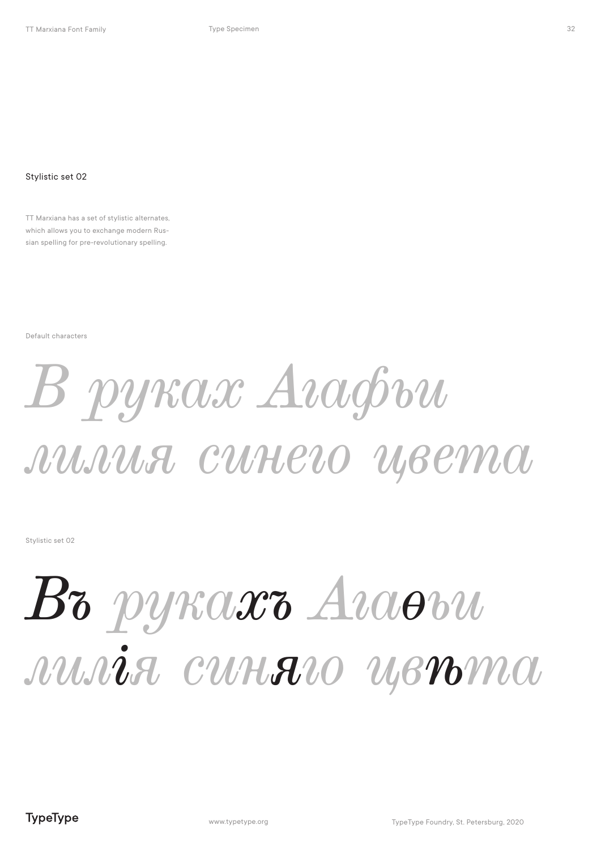TT Marxiana has a set of stylistic alternates, which allows you to exchange modern Russian spelling for pre-revolutionary spelling.

Default characters

## *В руках Агафьи лилия синего цвета*

Stylistic set 02

### *В руках Агафьи лилия синего цвета*

32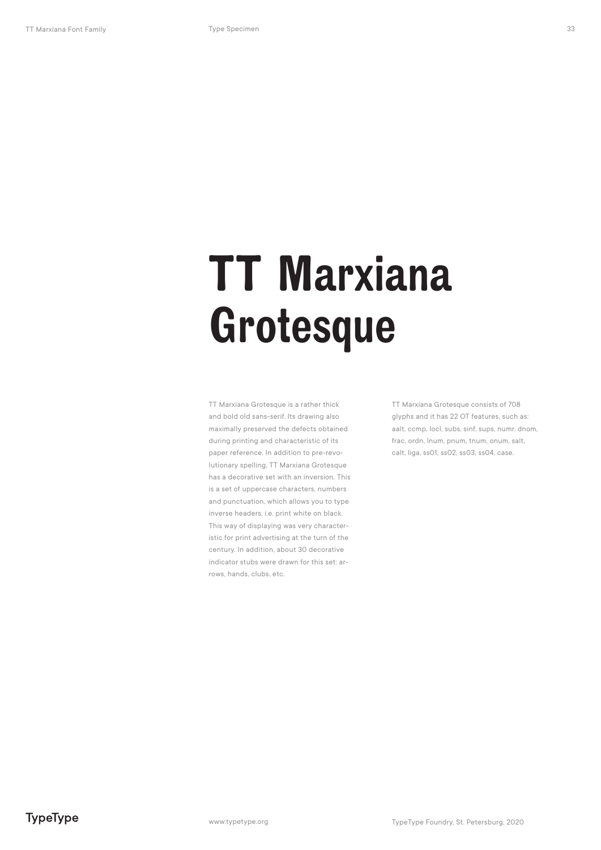TT Marxiana Grotesque is a rather thick and bold old sans-serif. Its drawing also maximally preserved the defects obtained during printing and characteristic of its paper reference. In addition to pre-revolutionary spelling, TT Marxiana Grotesque has a decorative set with an inversion. This is a set of uppercase characters, numbers and punctuation, which allows you to type inverse headers, i.e. print white on black. This way of displaying was very characteristic for print advertising at the turn of the century. In addition, about 30 decorative indicator stubs were drawn for this set: arrows, hands, clubs, etc.

TT Marxiana Grotesque consists of 708 glyphs and it has 22 OT features, such as: aalt, ccmp, locl, subs, sinf, sups, numr, dnom, frac, ordn, lnum, pnum, tnum, onum, salt, calt, liga, ss01, ss02, ss03, ss04, case.

TypeType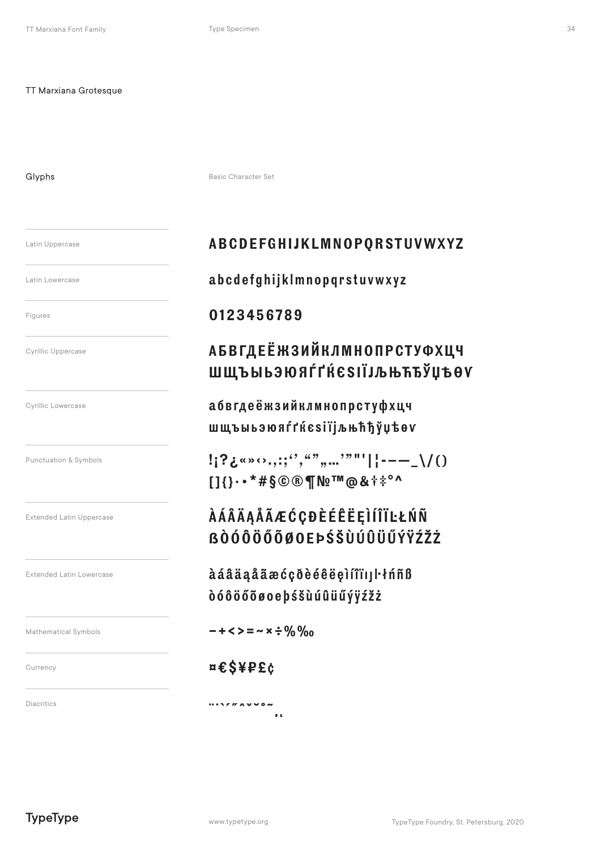Glyphs

Basic Character Set

Latin Uppercase

Latin Lowercase

Figures

**Cyrillic Uppercase** 

Cyrillic Lowercase

Punctuation & Symbols

**Extended Latin Uppercase** 

**Extended Latin Lowercase** 

Mathematical Symbols

Currency

Diacritics

### ABCDEFGHIJKLMNOPORSTUVWXYZ

abcdefghijklmnopqrstuvwxyz

### 0123456789

### **АБВГДЕЁЖЗИЙКЛМНОПРСТУФХЦЧ** ШЩЪЫЬЭЮЯЃГЌЄЅІЇЈЉЊЋЂЎЏѢѲѴ

абвгдеёжзийклмнопрстуфхцч шщъыьэюяѓґќєѕіїјљњћђўџѣѳv

 $!$   $?$   $\zeta$  \* \* \* \* . . : ; '', ", ", ... '" "' | | - - - \_ \/ ()  $113...$  \* #  $$@@$  T No<sup>TM</sup> @ & + \* ° ^

### **AÁÂÄĄÅÃÆĆÇĐÈÉÊËĘÌÍÎÏĿŁŃÑ RÒÓÔÖŐÕØOFÞŚŠÙÚÛÜŰÝŸŹŽŻ**

àáâäaåãæćçõèéêëeìíîï111·thñß dóôöőõøoebśšùúûüűýÿźžż

 $- + <$  > = ~ x ÷ % %

### $n \epsilon$ \$¥P£¢

 $\cdots \cdots \cdots \cdots$  $\bullet$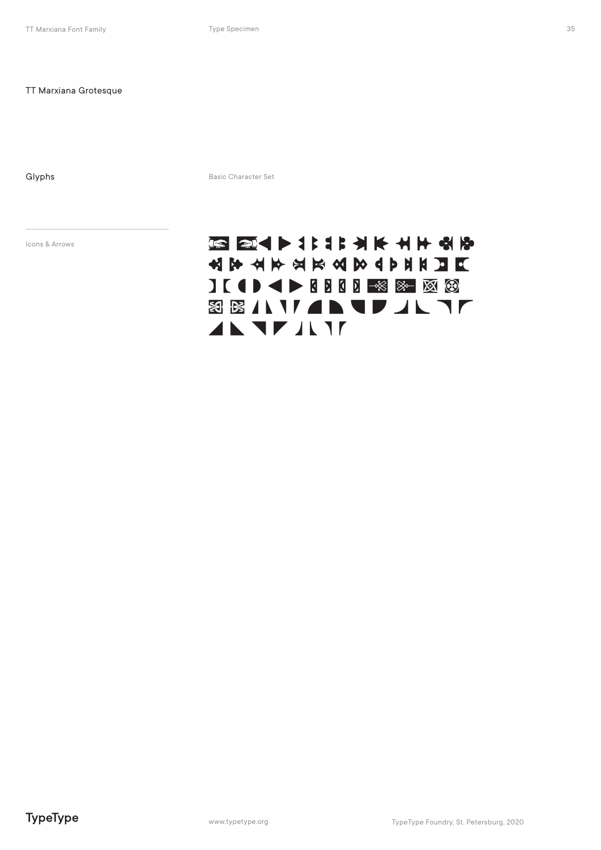Glyphs Basic Character Set

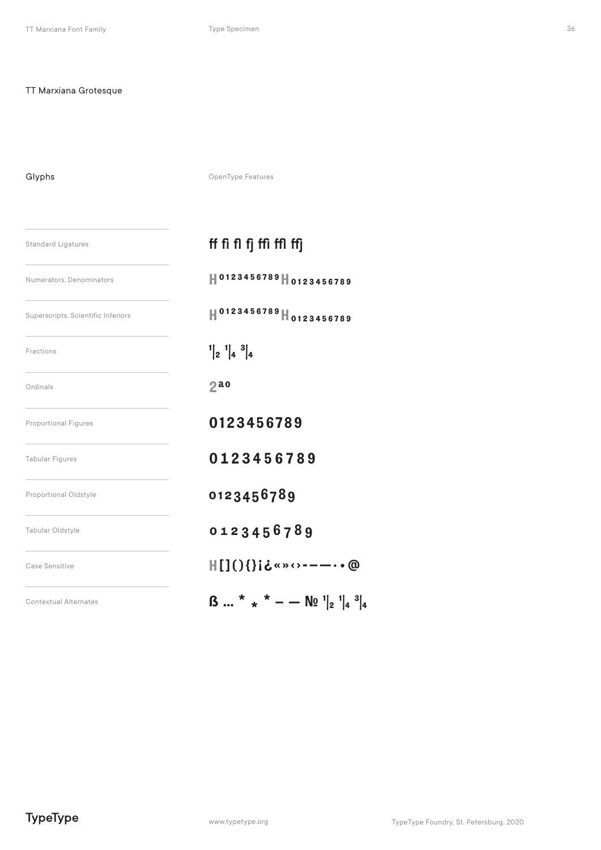### Glyphs

OpenType Features

| <b>Standard Ligatures</b>          | ff fi fl fj ffi ffl ffj                                                                                          |
|------------------------------------|------------------------------------------------------------------------------------------------------------------|
| Numerators, Denominators           | H0123456789H0123456789                                                                                           |
| Superscripts, Scientific Inferiors | H0123456789H0123456789                                                                                           |
| Fractions                          | $\begin{bmatrix} 1 \\ 2 \end{bmatrix} \begin{bmatrix} 1 \\ 4 \end{bmatrix} \begin{bmatrix} 3 \\ 4 \end{bmatrix}$ |
| Ordinals                           | 2a                                                                                                               |
| <b>Proportional Figures</b>        | 0123456789                                                                                                       |
| <b>Tabular Figures</b>             | 0123456789                                                                                                       |
| Proportional Oldstyle              | 0123456789                                                                                                       |
| Tabular Oldstyle                   | 0123456789                                                                                                       |
| Case Sensitive                     | $\text{H}[\ ]() \$ i ¿«»<>----• @                                                                                |
| <b>Contextual Alternates</b>       | $\beta$ * * * - $\mathbb{N}^2$ $ _{2}^{1}$ $ _{4}^{3} _{4}$                                                      |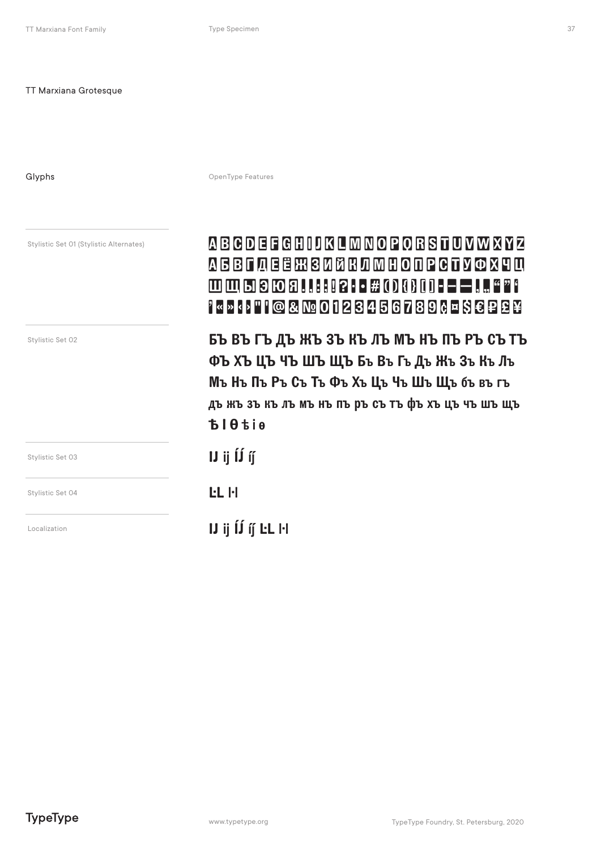Glyphs

OpenType Features

| Stylistic Set 01 (Stylistic Alternates) | <b>ABCDEFGHIJKLMNOPORSTUVWXYZ</b><br>АБВГДЕЁЖЗИЙКЛМНОПРСТУФХЧЦ<br>ШЩЫЭЮЯ… # OR TI - - -  "?<br>''«'»K}'''''@&Nº0123456789¢¤\$€P£¥                                                                                    |
|-----------------------------------------|----------------------------------------------------------------------------------------------------------------------------------------------------------------------------------------------------------------------|
| Stylistic Set 02                        | БЪ ВЪ ГЪ ДЪ ЖЪ ЗЪ КЪ ЛЪ МЪ НЪ ПЪ РЪ СЪ ТЪ<br><b>ФЪ ХЪ ЦЪ ЧЪ ШЪ ЩЪ Бъ Въ Гъ Дъ Жъ Зъ Къ Лъ</b><br>Мъ Нъ Пъ Ръ Съ Тъ Фъ Хъ Цъ Чъ Шъ Щъ бъ въ гъ<br>дъ жъ зъ къ лъ мъ нъ пъ ръ съ тъ фъ хъ цъ чъ шъ щъ<br><b>BIOtie</b> |
| Stylistic Set 03                        | $\bf{U}$ ij $\bf{\hat{U}}$ ij                                                                                                                                                                                        |
| Stylistic Set 04                        | <b>LL</b> H                                                                                                                                                                                                          |
| Localization                            | $U$ ij $\acute{U}$ if LL H                                                                                                                                                                                           |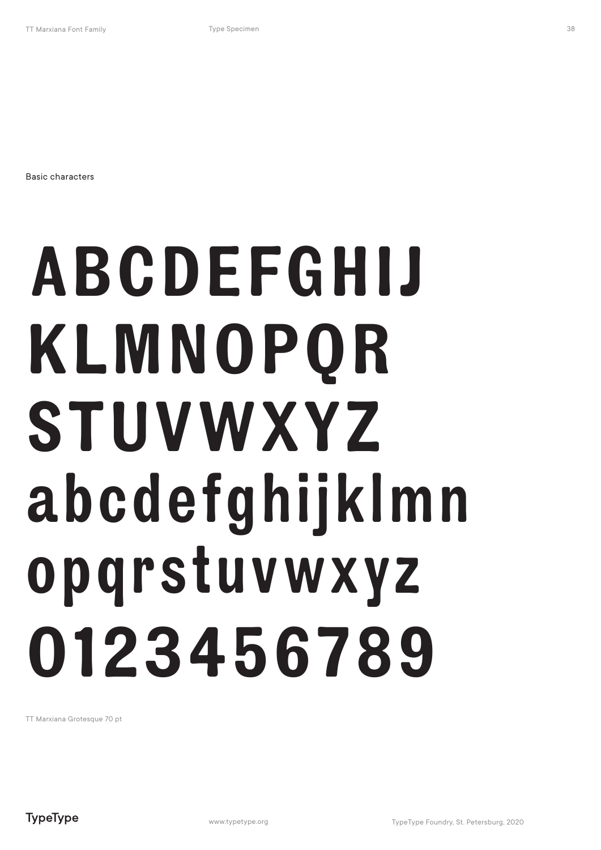Basic characters

## ABCDEFGHIJ KLMNOPQR STUVWXYZ abcdefghijklmn opqrstuvwxyz 0123456789

TT Marxiana Grotesque 70 pt

38

**TypeType**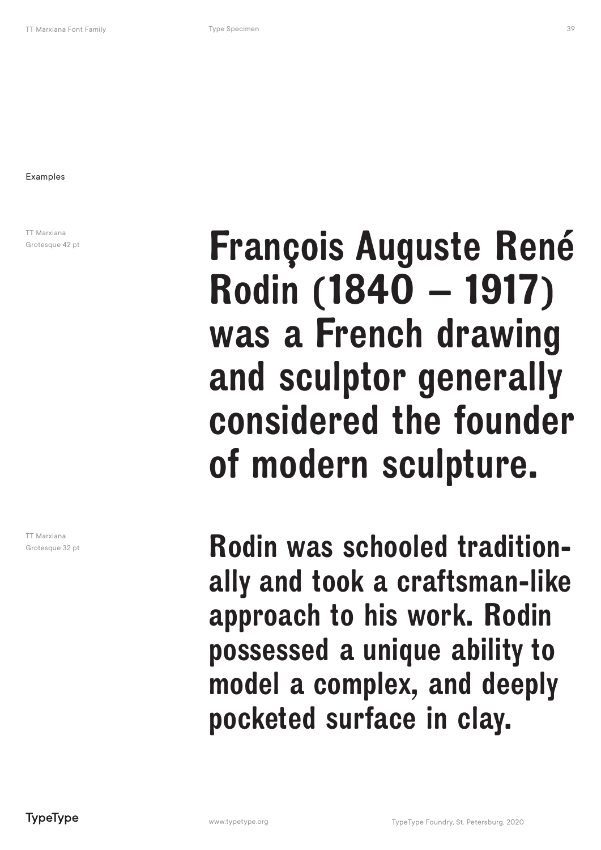Examples

TT Marxiana Grotesque 42 pt

TT Marxiana Grotesque 32 pt

### François Auguste René Rodin (1840 – 1917) was a French drawing and sculptor generally considered the founder of modern sculpture.

Rodin was schooled traditionally and took a craftsman-like approach to his work. Rodin possessed a unique ability to model a complex, and deeply pocketed surface in clay.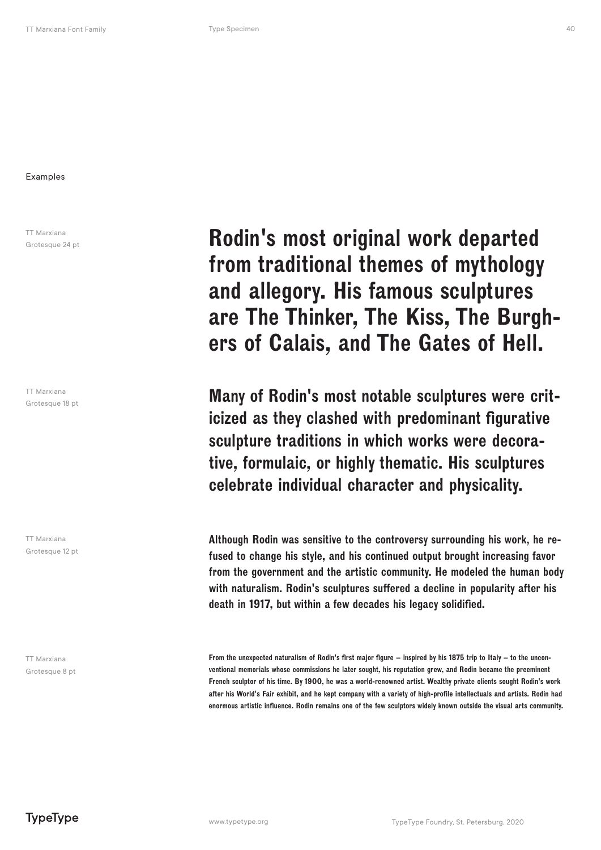TT Marxiana Grotesque 24 pt

TT Marxiana Grotesque 18 pt

TT Marxiana Grotesque 12 pt

TT Marxiana Grotesque 8 pt

Rodin's most original work departed from traditional themes of mythology and allegory. His famous sculptures are The Thinker, The Kiss, The Burghers of Calais, and The Gates of Hell.

Many of Rodin's most notable sculptures were criticized as they clashed with predominant figurative sculpture traditions in which works were decorative, formulaic, or highly thematic. His sculptures celebrate individual character and physicality.

Although Rodin was sensitive to the controversy surrounding his work, he refused to change his style, and his continued output brought increasing favor from the government and the artistic community. He modeled the human body with naturalism. Rodin's sculptures suffered a decline in popularity after his death in 1917, but within a few decades his legacy solidified.

From the unexpected naturalism of Rodin's first major figure – inspired by his 1875 trip to Italy – to the unconventional memorials whose commissions he later sought, his reputation grew, and Rodin became the preeminent French sculptor of his time. By 1900, he was a world-renowned artist. Wealthy private clients sought Rodin's work after his World's Fair exhibit, and he kept company with a variety of high-profile intellectuals and artists. Rodin had enormous artistic influence. Rodin remains one of the few sculptors widely known outside the visual arts community.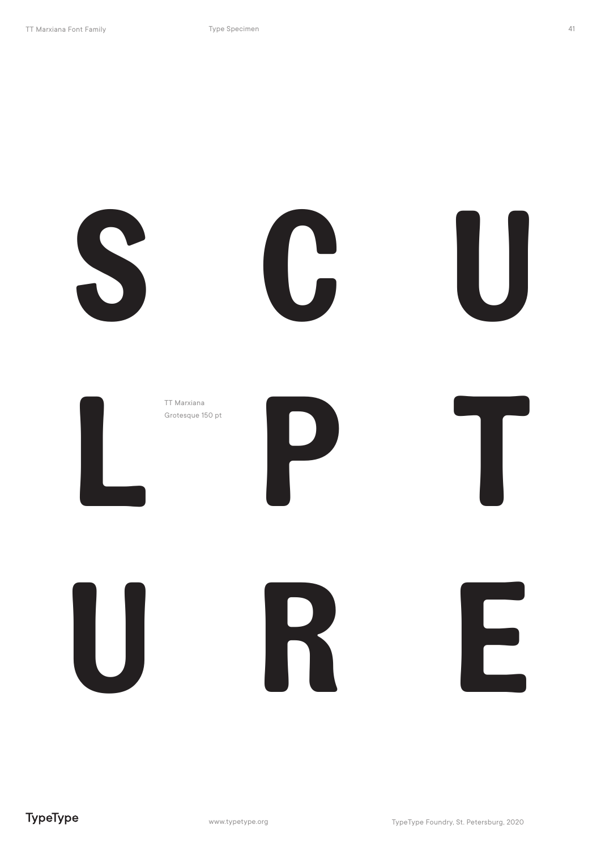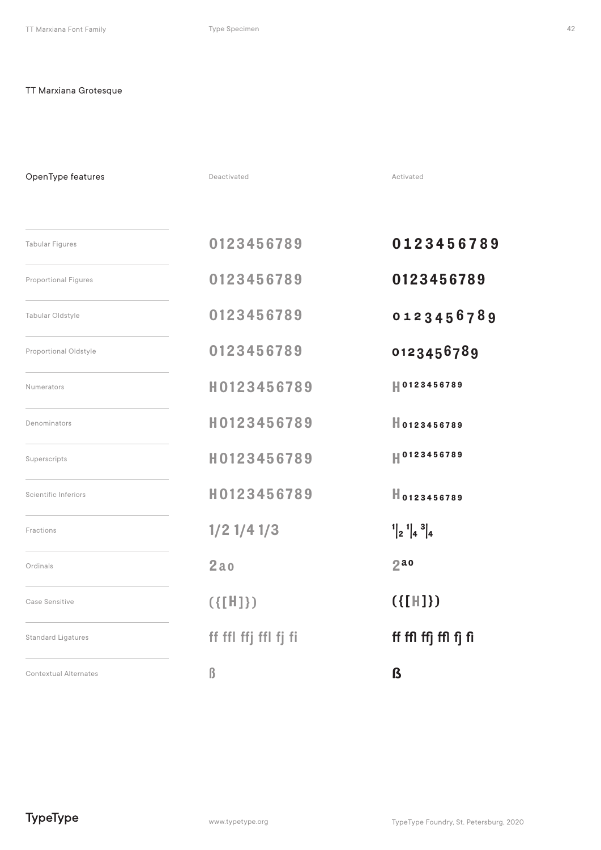OpenType features

Tabular Figures Numerators Case Sensitive Scientific Inferiors Proportional Figures Denominators Fractions Tabular Oldstyle Superscripts Ordinals 0123456789 0123456789 0123456789 H0123456789 ({[H]}) H0123456789 H0123456789 H0123456789 1/2 1/4 1/3 2ao 0123456789 0123456789 0123456789 H0123456789 ({[H]}) H0123456789 H0123456789 H0123456789  $\begin{bmatrix} 1 \\ 2 \end{bmatrix} \begin{bmatrix} 1 \\ 4 \end{bmatrix} \begin{bmatrix} 3 \\ 4 \end{bmatrix}$ Standard Ligatures **ff ffl ffl ffj ffl fj fi** fingler fra **ff ffl ffj ffl fj fi**  $2a$ Proportional Oldstyle **0123456789** 0123456789  $\Box$ Contextual Alternates  $\Box$ 

Deactivated **Activated** Activated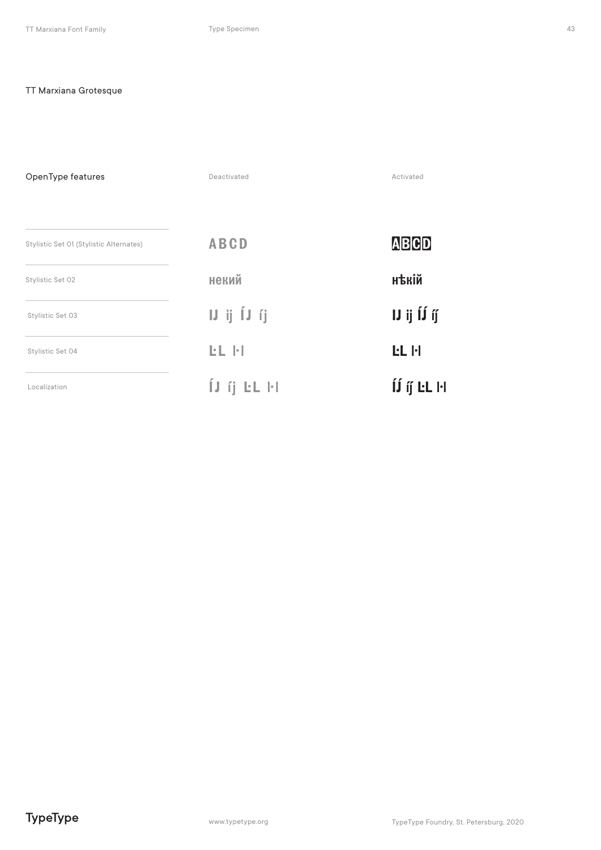OpenType features Deactivated Activated **ABCD ABCD** Stylistic Set 01 (Stylistic Alternates) нъкій некий Stylistic Set 02  $\boldsymbol{\mathsf{I}}\boldsymbol{\mathsf{J}}$ ij Í $\boldsymbol{\mathsf{J}}$  ij IJ ij ĺJ íj Stylistic Set 03 EL FI **EL**<sub>H</sub> Stylistic Set 04  $\hat{\mathbf{I}}\hat{\mathbf{J}}$ íj́ LL H Ú íj EL FI Localization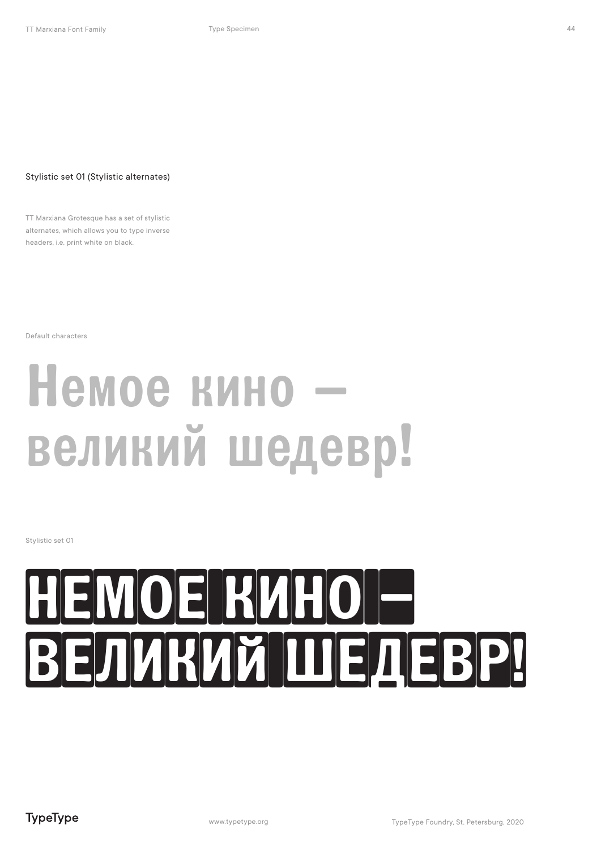#### Stylistic set 01 (Stylistic alternates)

TT Marxiana Grotesque has a set of stylistic alternates, which allows you to type inverse headers, i.e. print white on black.

Default characters

### Немое кино – великий шедевр!

Stylistic set 01

## немое кино – великий шедевр!

44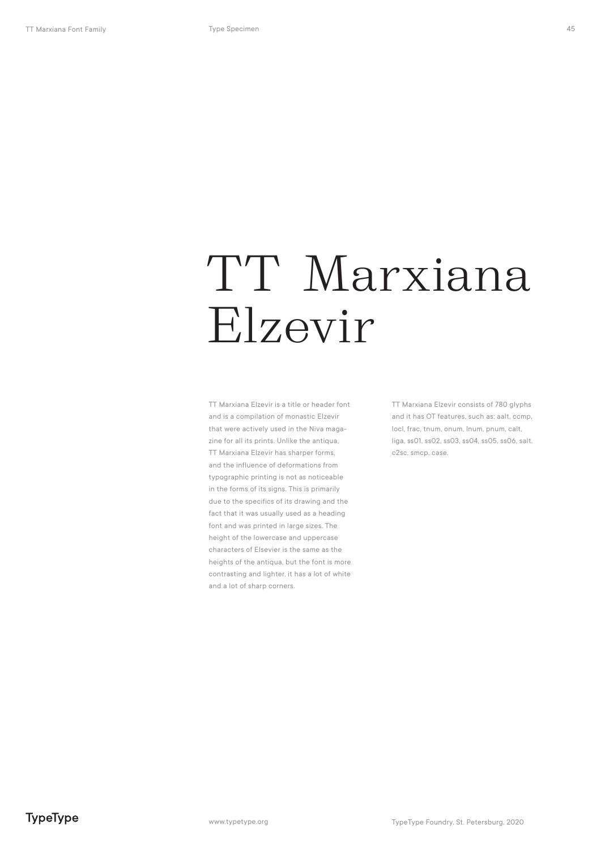### TT Marxiana Elzevir

TT Marxiana Elzevir is a title or header font and is a compilation of monastic Elzevir that were actively used in the Niva magazine for all its prints. Unlike the antiqua, TT Marxiana Elzevir has sharper forms, and the influence of deformations from typographic printing is not as noticeable in the forms of its signs. This is primarily due to the specifics of its drawing and the fact that it was usually used as a heading font and was printed in large sizes. The height of the lowercase and uppercase characters of Elsevier is the same as the heights of the antiqua, but the font is more contrasting and lighter, it has a lot of white and a lot of sharp corners.

TT Marxiana Elzevir consists of 780 glyphs and it has OT features, such as: aalt, ccmp, locl, frac, tnum, onum, lnum, pnum, calt, liga, ss01, ss02, ss03, ss04, ss05, ss06, salt, c2sc, smcp, case.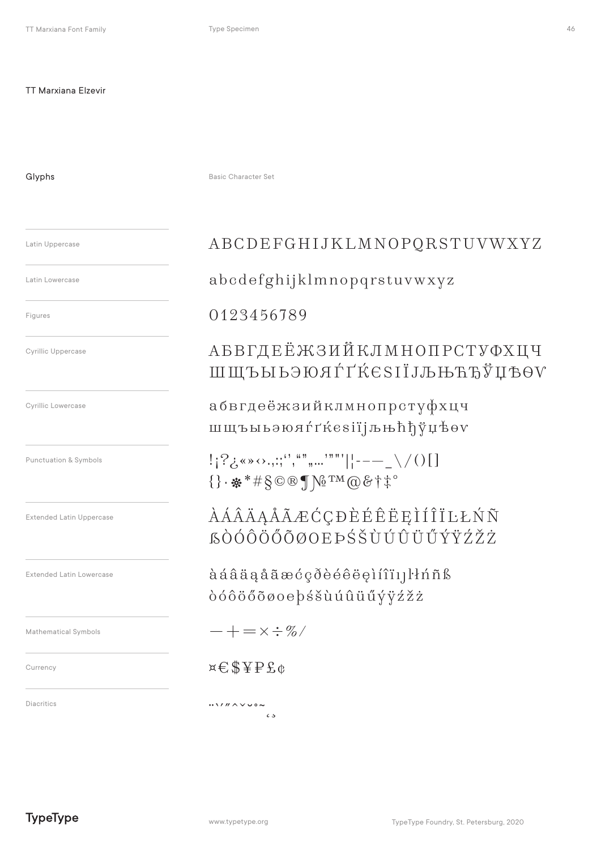Type Specimen

### **TT Marxiana Elzevir**

Glyphs

Basic Character Set

#### Latin Uppercase

Latin Lowercase

Figures

**Cyrillic Uppercase** 

Cyrillic Lowercase

Punctuation & Symbols

**Extended Latin Uppercase** 

**Extended Latin Lowercase** 

Mathematical Symbols

Currency

Diacritics

ABCDEFGHIJKLMNOPQRSTUVWXYZ

abcdefghijklmnopqrstuvwxyz

### 0123456789

### **АБВГДЕЁЖЗИЙКЛМНОПРСТУФХЦЧ** ШЩЪЫЬЭЮЯЃҐЌЄЅІЇЈЉЊЋЂЎЏѢѲѴ

абвгдеёжзийклмнопрстуфхцч шщъыьэюяґґќезії јљњћђўџѣоv

 $!$   $[$   $?$   $\zeta$   $\cdots$   $\cdots$   $\cdots$   $\cdots$   $\cdots$   $\cdots$   $\cdots$   $\cdots$   $\cdots$   $\cdots$   $\cdots$   $\cdots$   $\cdots$   $\cdots$   $\cdots$   $\cdots$   $\cdots$   $\cdots$   $\cdots$   $\cdots$   $\cdots$   $\cdots$   $\cdots$   $\cdots$   $\cdots$   $\cdots$   $\cdots$   $\cdots$   $\cdots$   $\cdots$   $\cdots$   $\cdots$   $\cdots$   $\cdots$  $\{\}\cdot\frac{1}{2}$  \* #  $\S \circ \mathbb{R}$  \  $N_2$  TM  $\circledcirc \circ \dagger$  \* \*

*AAAAAAAECCDEEEEEIÍÎILLŃÑ* **SÒÓÔÖŐÕØOEÞŚŠÙÚÛÜŰÝŸŹŽŻ** 

àáâäąåãæćçðèéêëeìíîï11knñß dóôöőõøoe pśšùúûüűýÿźžż

 $-+ = \times \div \%$ 

### $x \in \text{S} \times \text{P} \text{S} \text{C}$

 $M''$  $\epsilon$ .5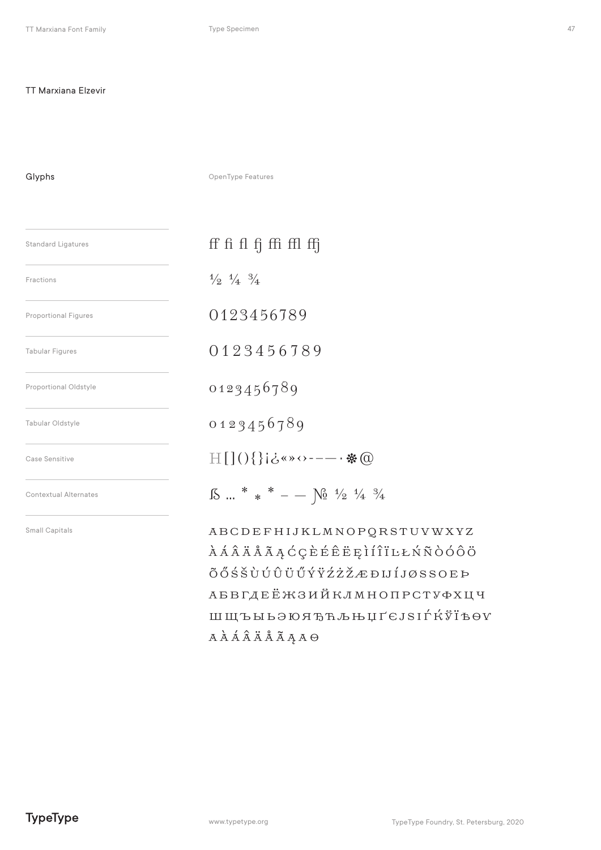### TT Marxiana Elzevir

Glyphs

OpenType Features

| <b>Standard Ligatures</b>    | ff fi fl fj ffi ffl ffj                                                                                                                          |  |
|------------------------------|--------------------------------------------------------------------------------------------------------------------------------------------------|--|
| Fractions                    | $\frac{1}{2}$ $\frac{1}{4}$ $\frac{3}{4}$                                                                                                        |  |
| <b>Proportional Figures</b>  | 0123456789                                                                                                                                       |  |
| <b>Tabular Figures</b>       | 0123456789                                                                                                                                       |  |
| Proportional Oldstyle        | 0123456789                                                                                                                                       |  |
| Tabular Oldstyle             | 0123456789                                                                                                                                       |  |
| Case Sensitive               | 日[](){}j¿«»↔----- ※ @                                                                                                                            |  |
| <b>Contextual Alternates</b> | $\text{18} \cdot \text{}$ * * - $\text{}$ $\text{10}$ $\frac{4}{2}$ $\frac{4}{4}$ $\frac{3}{4}$                                                  |  |
| Small Capitals               | ABCDEFHIJKLMNOPQRSTUVWXYZ<br>ÀÁÂÄÅÃĄĆÇÈÉÊËĘÌÍÎÏĿŁŃÑÒÓÔÖ<br>ÕŐŚŠÙÚÛÜŰŰÝŸŹŻŽÆĐIJÍJØSSOEÞ<br>АБВГДЕЁЖЗИЙКЛМНОПРСТУФХЦЧ<br>ШЩЪЫЬЭЮЯЂЋЉЊЏҐЄЈЅӀЃЌЎЇѢѲѴ |  |

 $A\overset{\star}{A}\overset{\star}{A}\overset{\star}{A}\overset{\star}{A}\overset{\star}{A}\overset{\star}{A}\overset{\star}{A}\overset{\star}{A}\overset{\star}{A}\overset{\star}{A}\overset{\star}{A}$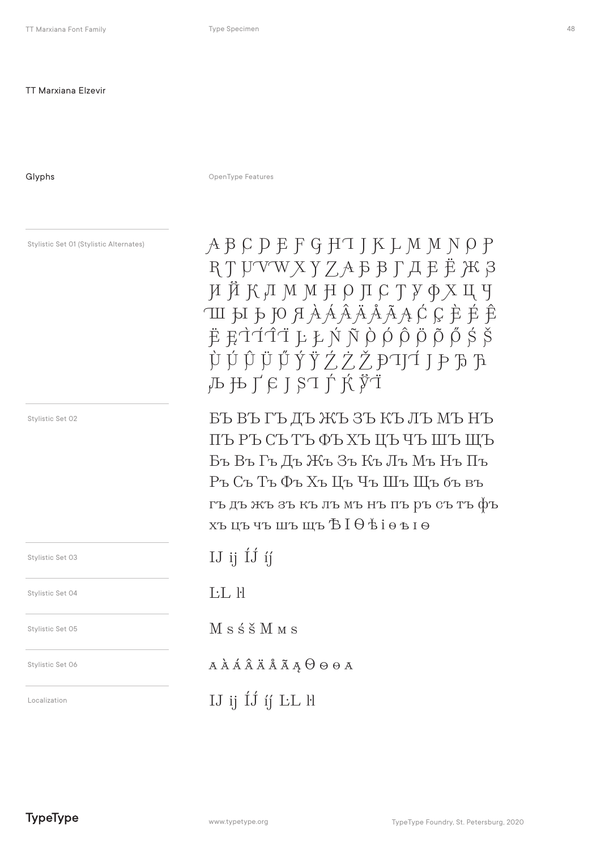Stylistic Set 01 (Stylistic Alternates)

Glyphs

OpenType Features

Stylistic Set 02 Stylistic Set 03 Stylistic Set 04 Stylistic Set 05 Stylistic Set 06 Localization

ABCDEFGHTJKLMMNOP RTUVWXYZAFFLAFË ЖЗ ИЙКЛММНОПСТУФХЦЧ ШЫЪЮЯА̀ААА̀А́А́А́ССЀЕ́Е̂ Ë ĘÌÍĨĨ ĿŁŃÑÒÓÔ<del>Ď</del>ŎŐŚŠ  $\dot{\mathfrak{P}} \dot{\mathfrak{P}} \dot{\mathfrak{P}} \ddot{\mathfrak{P}} \ddot{\mathfrak{P}} \dot{\mathfrak{P}} \dot{\mathfrak{P}} \dot{\mathfrak{P}} \dot{\mathfrak{P}} \dot{\mathfrak{P}} \dot{\mathfrak{P}} \mathfrak{P} \mathfrak{P} \mathfrak{P}$  $\mathbf{1} \mathbf{1} \mathbf{1} \mathbf{1} \mathbf{1} \mathbf{1} \mathbf{1} \mathbf{1} \mathbf{1} \mathbf{1} \mathbf{1} \mathbf{1} \mathbf{1} \mathbf{1} \mathbf{1} \mathbf{1} \mathbf{1} \mathbf{1} \mathbf{1} \mathbf{1} \mathbf{1} \mathbf{1} \mathbf{1} \mathbf{1} \mathbf{1} \mathbf{1} \mathbf{1} \mathbf{1} \mathbf{1} \mathbf{1} \mathbf{1} \mathbf{1} \mathbf{1} \mathbf{1} \mathbf{1} \mathbf{1} \mathbf{$ 

БЪ ВЪ ГЪ ДЪ ЖЪ ЗЪ КЪ ЛЪ МЪ НЪ ПЪРЪСЪТЪФЬХЪЦЪЧЪШЪЩЪ Бъ Въ Гъ Дъ Жъ Зъ Къ Лъ Мъ Нъ Пъ Ръ Съ Тъ Фъ Хъ Цъ Чъ Шъ Щъ бъ въ гъ дъ жъ зъ къ лъ мъ нъ пъ ръ съ тъ фъ хъцъчъшъщъ БІӨ віовіо

IJ ij  $\overline{1}$ j ij  $I: I \cup H$ 

M s ś š M M s

**АААААААААӨөөа** 

IJ ij ÍJ íj LL H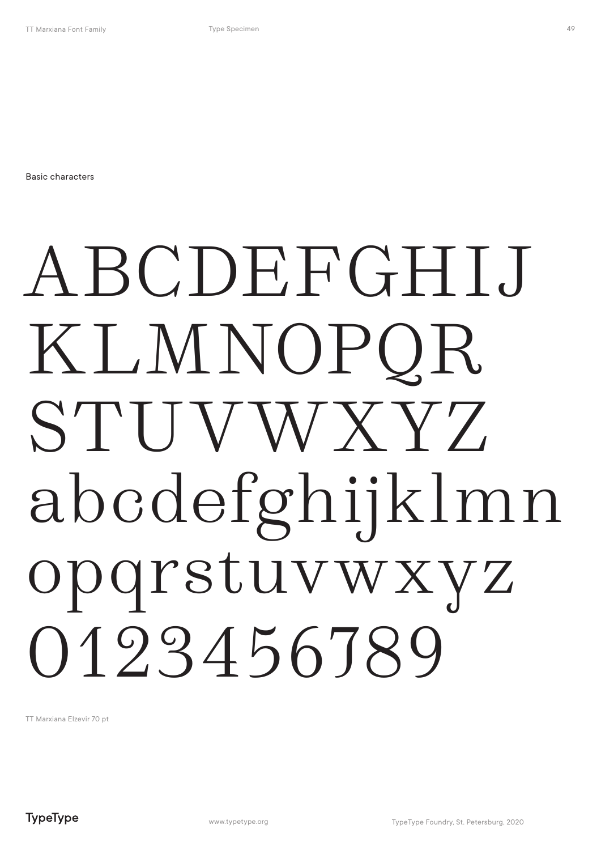Basic characters

## ABCDEFGHIJ KLMNOPQR STUVWXYZ abcdefghijklmn opqrstuvwxyz 0123456789

TT Marxiana Elzevir 70 pt

**TypeType**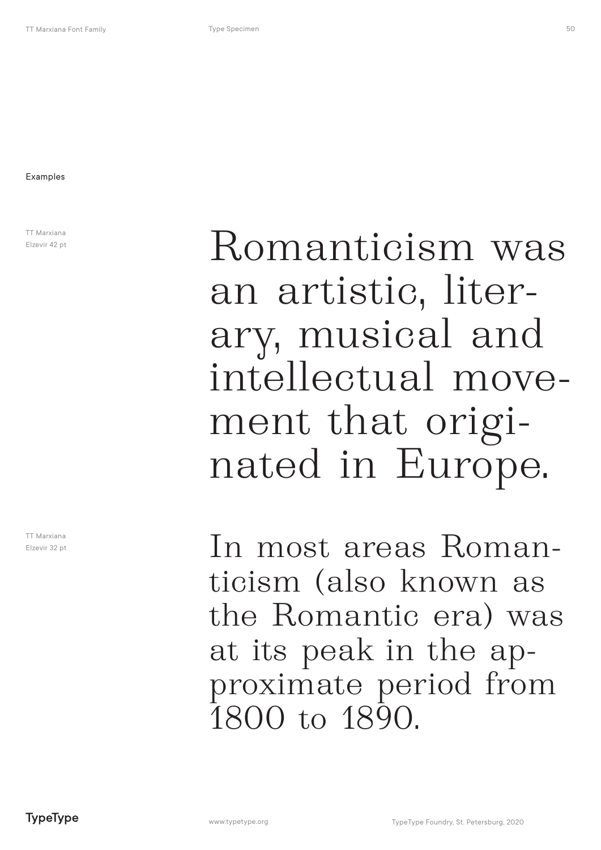TT Marxiana Elzevir 42 pt

TT Marxiana Elzevir 32 pt

Romanticism was an artistic, literary, musical and intellectual movement that originated in Europe.

In most areas Romanticism (also known as the Romantic era) was at its peak in the approximate period from 1800 to 1890.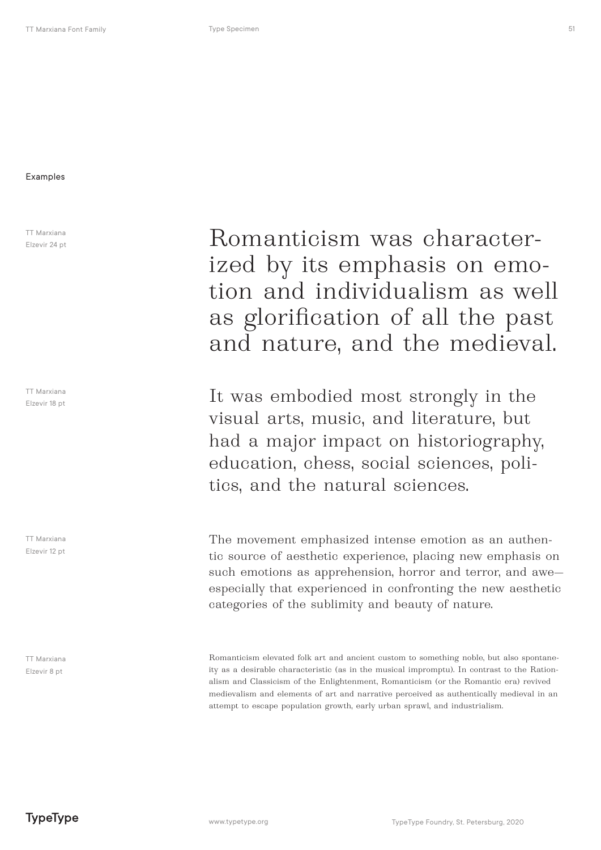#### Examples

TT Marxiana Elzevir 24 pt

TT Marxiana Elzevir 18 pt

TT Marxiana Elzevir 12 pt

TT Marxiana Elzevir 8 pt

Romanticism was characterized by its emphasis on emotion and individualism as well as glorification of all the past and nature, and the medieval.

It was embodied most strongly in the visual arts, music, and literature, but had a major impact on historiography, education, chess, social sciences, politics, and the natural sciences.

The movement emphasized intense emotion as an authentic source of aesthetic experience, placing new emphasis on such emotions as apprehension, horror and terror, and awe especially that experienced in confronting the new aesthetic categories of the sublimity and beauty of nature.

Romanticism elevated folk art and ancient custom to something noble, but also spontaneity as a desirable characteristic (as in the musical impromptu). In contrast to the Rationalism and Classicism of the Enlightenment, Romanticism (or the Romantic era) revived medievalism and elements of art and narrative perceived as authentically medieval in an attempt to escape population growth, early urban sprawl, and industrialism.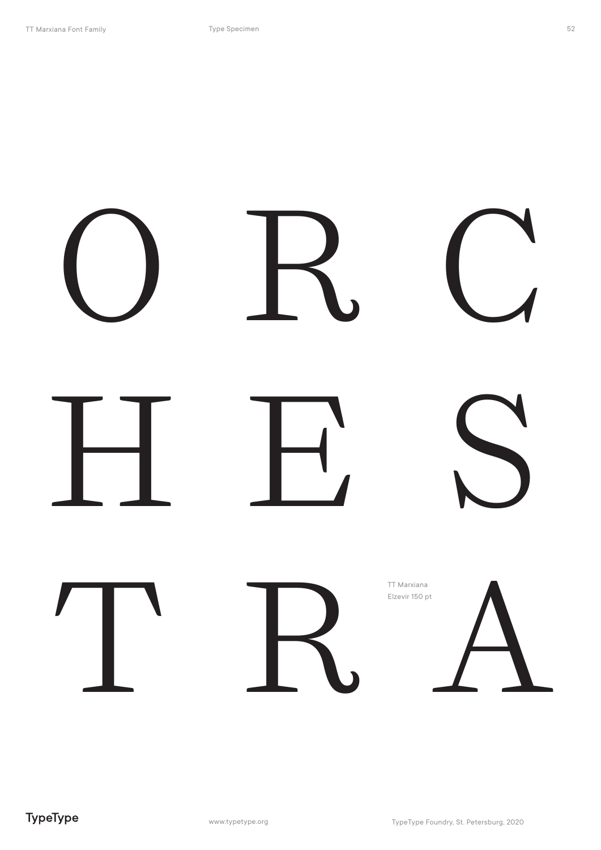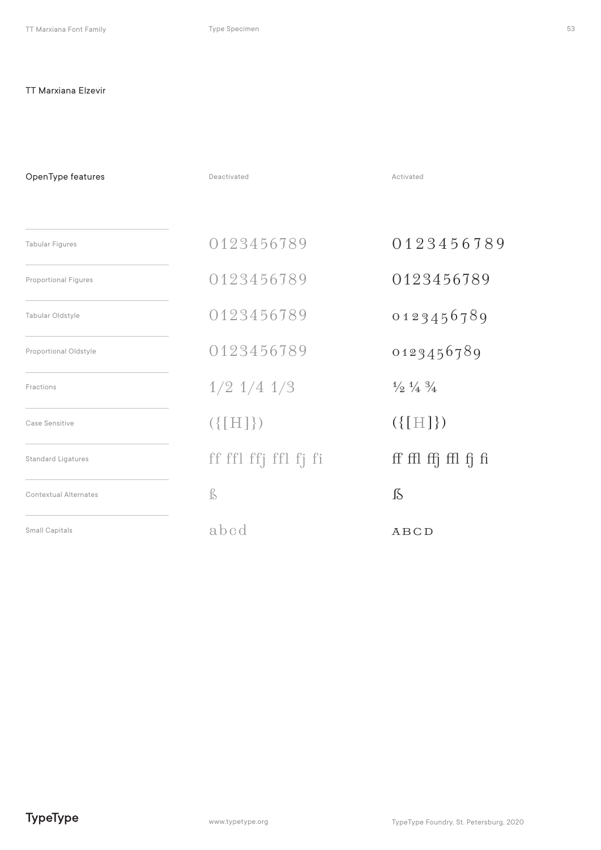### TT Marxiana Elzevir

| OpenType features            | Deactivated          | Activated                                 |
|------------------------------|----------------------|-------------------------------------------|
| <b>Tabular Figures</b>       | 0123456789           | 0123456789                                |
| <b>Proportional Figures</b>  | 0123456789           | 0123456789                                |
| Tabular Oldstyle             | 0123456789           | 0123456789                                |
| Proportional Oldstyle        | 0123456789           | 0123456789                                |
| Fractions                    | $1/2$ $1/4$ $1/3$    | $\frac{1}{2}$ $\frac{1}{4}$ $\frac{3}{4}$ |
| Case Sensitive               | $({\{[H]\}})$        | $({[[H]]})$                               |
| <b>Standard Ligatures</b>    | ff ffl ffj ffl fj fi | ff ffl ffj ffl fj fi                      |
| <b>Contextual Alternates</b> | ß                    | $\int \delta$                             |
| Small Capitals               | abcd                 | ABCD                                      |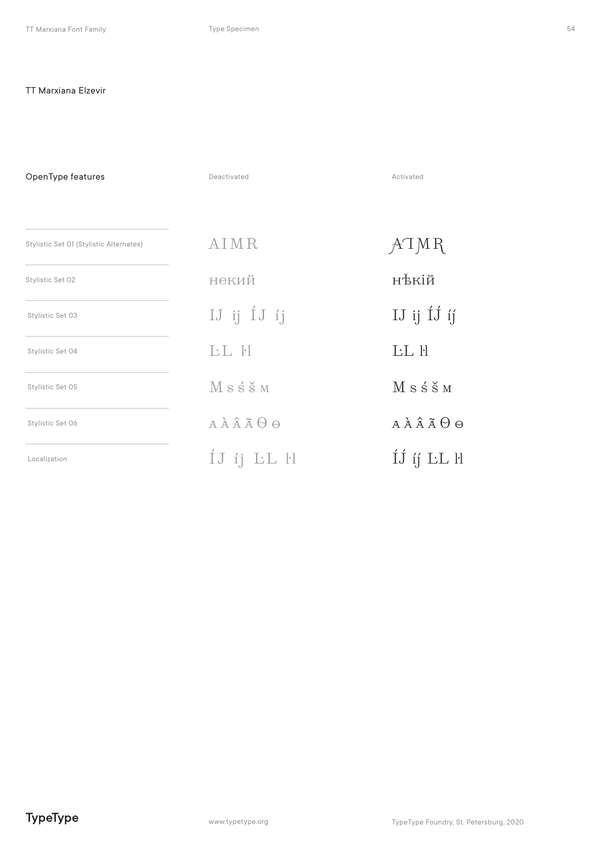### TT Marxiana Elzevir

| OpenType features                       | Deactivated   | Activated                    |
|-----------------------------------------|---------------|------------------------------|
| Stylistic Set 01 (Stylistic Alternates) | AIMR          |                              |
|                                         |               | ATMR                         |
| Stylistic Set 02                        | некий         | нѣкій                        |
| Stylistic Set 03                        | IJ ij 1J ij   | IJ ij $\overline{1}$ j ij    |
| Stylistic Set 04                        | LL H          | <b>LL</b> H                  |
| Stylistic Set 05                        | Msśšm         | $M s \pm \text{S} M$         |
| Stylistic Set 06                        | <b>AAAÃOO</b> | $A \wedge A \wedge A \Theta$ |
| Localization                            | IJ ij LL H    | ÍJ íj LL ll                  |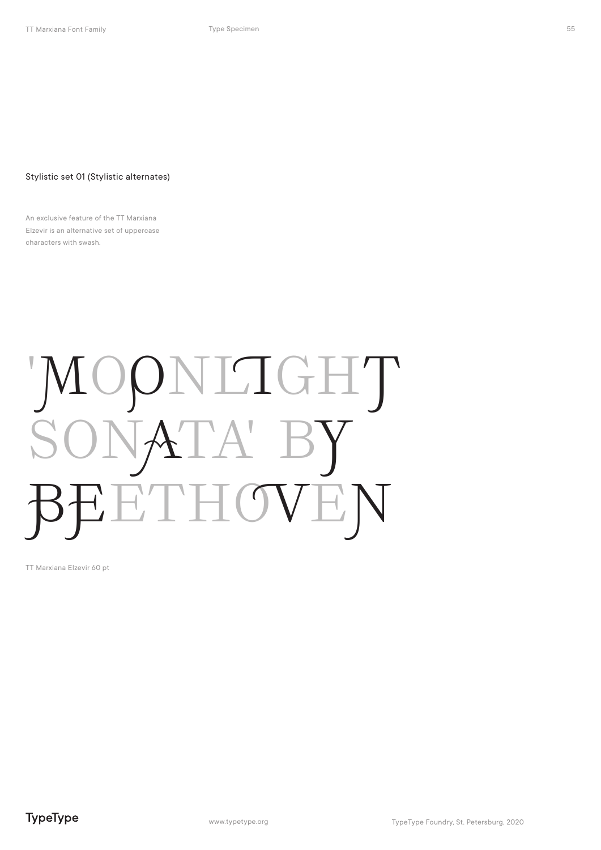### Stylistic set 01 (Stylistic alternates)

An exclusive feature of the TT Marxiana Elzevir is an alternative set of uppercase characters with swash.

## 'MOONLIGHT SONA ETHOVEN

TT Marxiana Elzevir 60 pt